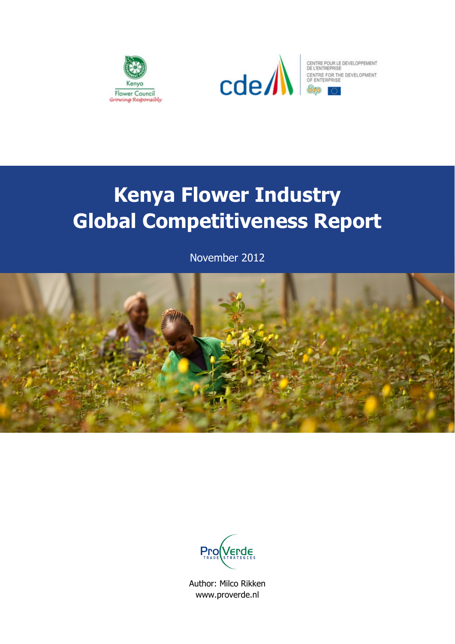



# **Kenya Flower Industry Global Competitiveness Report**

November 2012





Author: Milco Rikken www.proverde.nl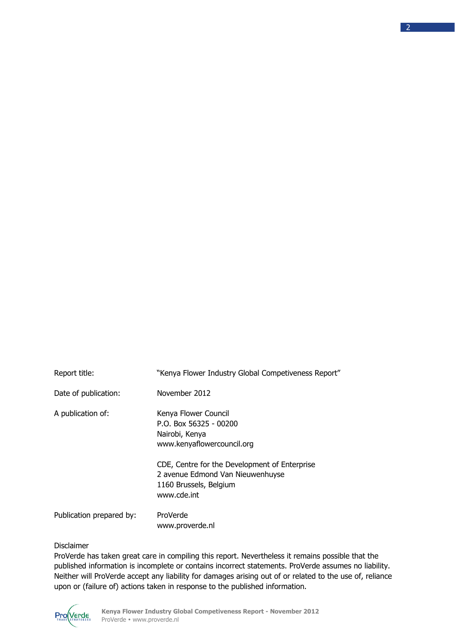| Report title:            | "Kenya Flower Industry Global Competiveness Report"                                                                                                                                                                            |
|--------------------------|--------------------------------------------------------------------------------------------------------------------------------------------------------------------------------------------------------------------------------|
| Date of publication:     | November 2012                                                                                                                                                                                                                  |
| A publication of:        | Kenya Flower Council<br>$P.O.$ Box 56325 - 00200<br>Nairobi, Kenya<br>www.kenyaflowercouncil.org<br>CDE, Centre for the Development of Enterprise<br>2 avenue Edmond Van Nieuwenhuyse<br>1160 Brussels, Belgium<br>www.cde.int |
| Publication prepared by: | ProVerde<br>www.proverde.nl                                                                                                                                                                                                    |

## Disclaimer

ProVerde has taken great care in compiling this report. Nevertheless it remains possible that the published information is incomplete or contains incorrect statements. ProVerde assumes no liability. Neither will ProVerde accept any liability for damages arising out of or related to the use of, reliance upon or (failure of) actions taken in response to the published information.

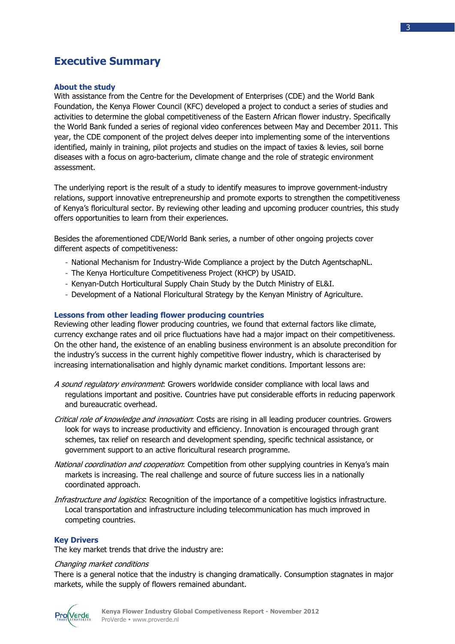## **Executive Summary**

## **About the study**

With assistance from the Centre for the Development of Enterprises (CDE) and the World Bank Foundation, the Kenya Flower Council (KFC) developed a project to conduct a series of studies and activities to determine the global competitiveness of the Eastern African flower industry. Specifically the World Bank funded a series of regional video conferences between May and December 2011. This year, the CDE component of the project delves deeper into implementing some of the interventions identified, mainly in training, pilot projects and studies on the impact of taxies & levies, soil borne diseases with a focus on agro-bacterium, climate change and the role of strategic environment assessment.

The underlying report is the result of a study to identify measures to improve government-industry relations, support innovative entrepreneurship and promote exports to strengthen the competitiveness of Kenya's floricultural sector. By reviewing other leading and upcoming producer countries, this study offers opportunities to learn from their experiences.

Besides the aforementioned CDE/World Bank series, a number of other ongoing projects cover different aspects of competitiveness:

- National Mechanism for Industry-Wide Compliance a project by the Dutch AgentschapNL.
- The Kenya Horticulture Competitiveness Project (KHCP) by USAID.
- Kenyan-Dutch Horticultural Supply Chain Study by the Dutch Ministry of EL&I.
- Development of a National Floricultural Strategy by the Kenyan Ministry of Agriculture.

#### **Lessons from other leading flower producing countries**

Reviewing other leading flower producing countries, we found that external factors like climate, currency exchange rates and oil price fluctuations have had a major impact on their competitiveness. On the other hand, the existence of an enabling business environment is an absolute precondition for the industry's success in the current highly competitive flower industry, which is characterised by increasing internationalisation and highly dynamic market conditions. Important lessons are:

- A sound requlatory environment: Growers worldwide consider compliance with local laws and regulations important and positive. Countries have put considerable efforts in reducing paperwork and bureaucratic overhead.
- Critical role of knowledge and innovation: Costs are rising in all leading producer countries. Growers look for ways to increase productivity and efficiency. Innovation is encouraged through grant schemes, tax relief on research and development spending, specific technical assistance, or government support to an active floricultural research programme.
- National coordination and cooperation: Competition from other supplying countries in Kenya's main markets is increasing. The real challenge and source of future success lies in a nationally coordinated approach.
- Infrastructure and logistics: Recognition of the importance of a competitive logistics infrastructure. Local transportation and infrastructure including telecommunication has much improved in competing countries.

#### **Key Drivers**

The key market trends that drive the industry are:

#### Changing market conditions

There is a general notice that the industry is changing dramatically. Consumption stagnates in major markets, while the supply of flowers remained abundant.

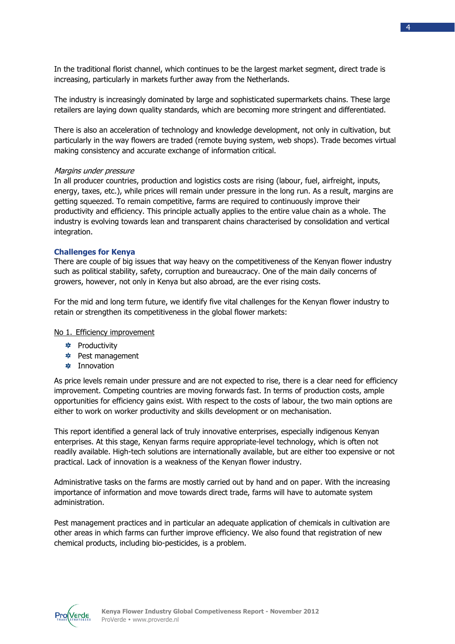In the traditional florist channel, which continues to be the largest market segment, direct trade is increasing, particularly in markets further away from the Netherlands.

The industry is increasingly dominated by large and sophisticated supermarkets chains. These large retailers are laying down quality standards, which are becoming more stringent and differentiated.

There is also an acceleration of technology and knowledge development, not only in cultivation, but particularly in the way flowers are traded (remote buying system, web shops). Trade becomes virtual making consistency and accurate exchange of information critical.

#### Margins under pressure

In all producer countries, production and logistics costs are rising (labour, fuel, airfreight, inputs, energy, taxes, etc.), while prices will remain under pressure in the long run. As a result, margins are getting squeezed. To remain competitive, farms are required to continuously improve their productivity and efficiency. This principle actually applies to the entire value chain as a whole. The industry is evolving towards lean and transparent chains characterised by consolidation and vertical integration.

#### **Challenges for Kenya**

There are couple of big issues that way heavy on the competitiveness of the Kenyan flower industry such as political stability, safety, corruption and bureaucracy. One of the main daily concerns of growers, however, not only in Kenya but also abroad, are the ever rising costs.

For the mid and long term future, we identify five vital challenges for the Kenyan flower industry to retain or strengthen its competitiveness in the global flower markets:

#### No 1. Efficiency improvement

- **Productivity**
- Pest management
- **<u><b>**</u> Innovation

As price levels remain under pressure and are not expected to rise, there is a clear need for efficiency improvement. Competing countries are moving forwards fast. In terms of production costs, ample opportunities for efficiency gains exist. With respect to the costs of labour, the two main options are either to work on worker productivity and skills development or on mechanisation.

This report identified a general lack of truly innovative enterprises, especially indigenous Kenyan enterprises. At this stage, Kenyan farms require appropriate-level technology, which is often not readily available. High-tech solutions are internationally available, but are either too expensive or not practical. Lack of innovation is a weakness of the Kenyan flower industry.

Administrative tasks on the farms are mostly carried out by hand and on paper. With the increasing importance of information and move towards direct trade, farms will have to automate system administration.

Pest management practices and in particular an adequate application of chemicals in cultivation are other areas in which farms can further improve efficiency. We also found that registration of new chemical products, including bio-pesticides, is a problem.

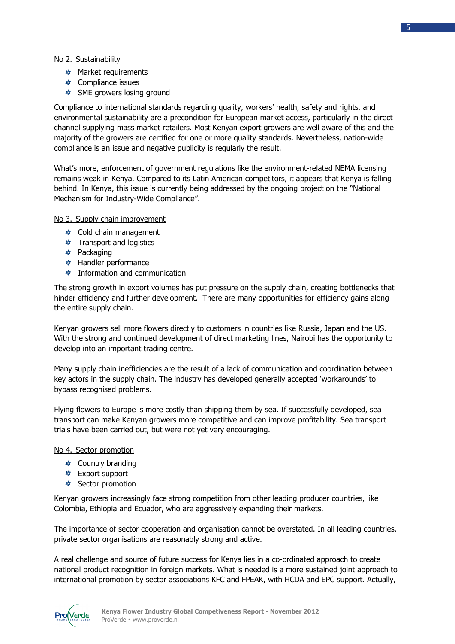- \* Market requirements
- **❖** Compliance issues
- $\frac{*}{*}$  SME growers losing ground

Compliance to international standards regarding quality, workers' health, safety and rights, and environmental sustainability are a precondition for European market access, particularly in the direct channel supplying mass market retailers. Most Kenyan export growers are well aware of this and the majority of the growers are certified for one or more quality standards. Nevertheless, nation-wide compliance is an issue and negative publicity is regularly the result.

What's more, enforcement of government regulations like the environment-related NEMA licensing remains weak in Kenya. Compared to its Latin American competitors, it appears that Kenya is falling behind. In Kenya, this issue is currently being addressed by the ongoing project on the "National Mechanism for Industry-Wide Compliance".

## No 3. Supply chain improvement

- Cold chain management
- **\*** Transport and logistics
- \* Packaging
- Handler performance
- **<u></u> ≉** Information and communication

The strong growth in export volumes has put pressure on the supply chain, creating bottlenecks that hinder efficiency and further development. There are many opportunities for efficiency gains along the entire supply chain.

Kenyan growers sell more flowers directly to customers in countries like Russia, Japan and the US. With the strong and continued development of direct marketing lines, Nairobi has the opportunity to develop into an important trading centre.

Many supply chain inefficiencies are the result of a lack of communication and coordination between key actors in the supply chain. The industry has developed generally accepted 'workarounds' to bypass recognised problems.

Flying flowers to Europe is more costly than shipping them by sea. If successfully developed, sea transport can make Kenyan growers more competitive and can improve profitability. Sea transport trials have been carried out, but were not yet very encouraging.

## No 4. Sector promotion

- **Country branding**
- Export support
- **\*** Sector promotion

Kenyan growers increasingly face strong competition from other leading producer countries, like Colombia, Ethiopia and Ecuador, who are aggressively expanding their markets.

The importance of sector cooperation and organisation cannot be overstated. In all leading countries, private sector organisations are reasonably strong and active.

A real challenge and source of future success for Kenya lies in a co-ordinated approach to create national product recognition in foreign markets. What is needed is a more sustained joint approach to international promotion by sector associations KFC and FPEAK, with HCDA and EPC support. Actually,

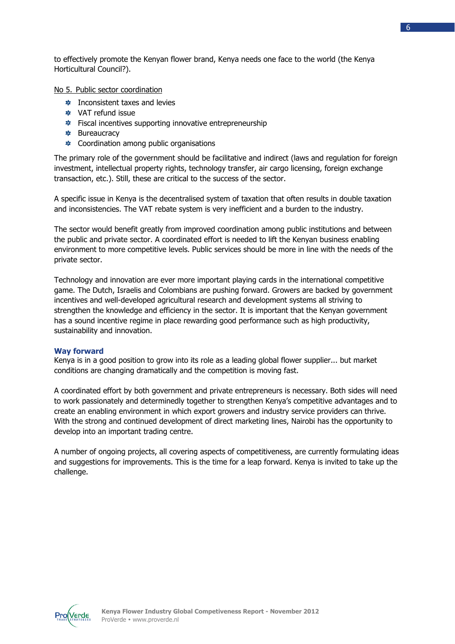to effectively promote the Kenyan flower brand, Kenya needs one face to the world (the Kenya Horticultural Council?).

No 5. Public sector coordination

- **\*** Inconsistent taxes and levies
- VAT refund issue
- **≉** Fiscal incentives supporting innovative entrepreneurship
- **\*** Bureaucracy
- $\ast$  Coordination among public organisations

The primary role of the government should be facilitative and indirect (laws and regulation for foreign investment, intellectual property rights, technology transfer, air cargo licensing, foreign exchange transaction, etc.). Still, these are critical to the success of the sector.

A specific issue in Kenya is the decentralised system of taxation that often results in double taxation and inconsistencies. The VAT rebate system is very inefficient and a burden to the industry.

The sector would benefit greatly from improved coordination among public institutions and between the public and private sector. A coordinated effort is needed to lift the Kenyan business enabling environment to more competitive levels. Public services should be more in line with the needs of the private sector.

Technology and innovation are ever more important playing cards in the international competitive game. The Dutch, Israelis and Colombians are pushing forward. Growers are backed by government incentives and well-developed agricultural research and development systems all striving to strengthen the knowledge and efficiency in the sector. It is important that the Kenyan government has a sound incentive regime in place rewarding good performance such as high productivity, sustainability and innovation.

## **Way forward**

Kenya is in a good position to grow into its role as a leading global flower supplier... but market conditions are changing dramatically and the competition is moving fast.

A coordinated effort by both government and private entrepreneurs is necessary. Both sides will need to work passionately and determinedly together to strengthen Kenya's competitive advantages and to create an enabling environment in which export growers and industry service providers can thrive. With the strong and continued development of direct marketing lines, Nairobi has the opportunity to develop into an important trading centre.

A number of ongoing projects, all covering aspects of competitiveness, are currently formulating ideas and suggestions for improvements. This is the time for a leap forward. Kenya is invited to take up the challenge.

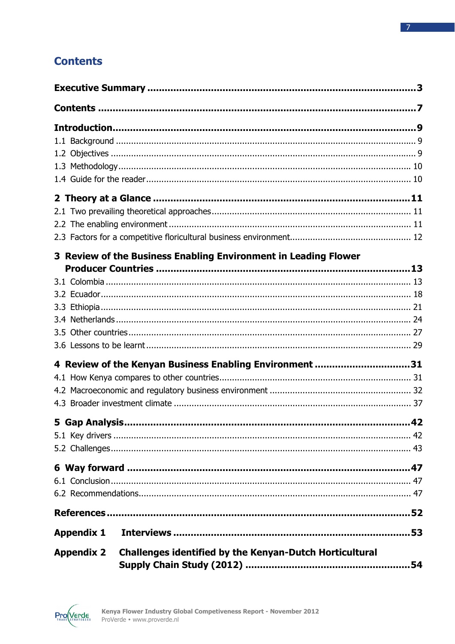## **Contents**

|                   | 3 Review of the Business Enabling Environment in Leading Flower |      |
|-------------------|-----------------------------------------------------------------|------|
| 5 Gap Analysis    | 4 Review of the Kenyan Business Enabling Environment 31         | . 42 |
|                   |                                                                 |      |
|                   |                                                                 |      |
|                   |                                                                 |      |
| <b>Appendix 1</b> |                                                                 |      |
| <b>Appendix 2</b> | <b>Challenges identified by the Kenyan-Dutch Horticultural</b>  |      |

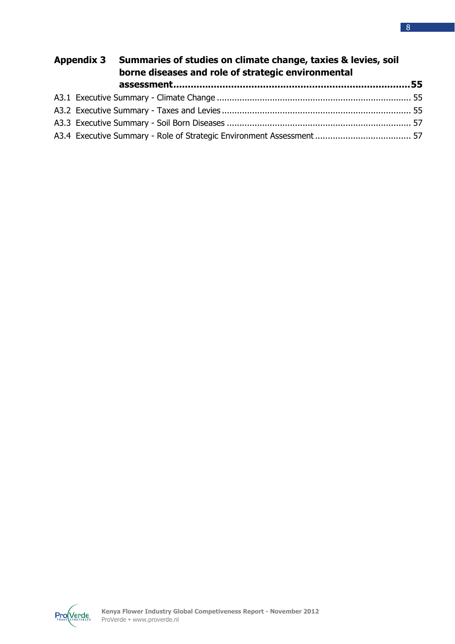| Appendix 3 Summaries of studies on climate change, taxies & levies, soil<br>borne diseases and role of strategic environmental |  |  |
|--------------------------------------------------------------------------------------------------------------------------------|--|--|
|                                                                                                                                |  |  |
|                                                                                                                                |  |  |
|                                                                                                                                |  |  |
|                                                                                                                                |  |  |
|                                                                                                                                |  |  |

 $ProveV}_{TRADE}$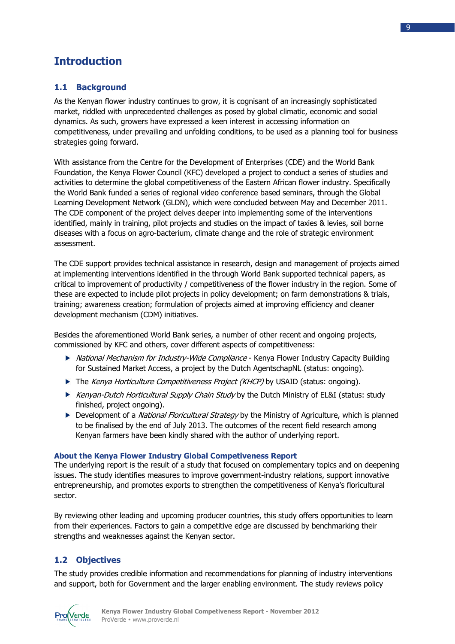## **Introduction**

## **1.1 Background**

As the Kenyan flower industry continues to grow, it is cognisant of an increasingly sophisticated market, riddled with unprecedented challenges as posed by global climatic, economic and social dynamics. As such, growers have expressed a keen interest in accessing information on competitiveness, under prevailing and unfolding conditions, to be used as a planning tool for business strategies going forward.

With assistance from the Centre for the Development of Enterprises (CDE) and the World Bank Foundation, the Kenya Flower Council (KFC) developed a project to conduct a series of studies and activities to determine the global competitiveness of the Eastern African flower industry. Specifically the World Bank funded a series of regional video conference based seminars, through the Global Learning Development Network (GLDN), which were concluded between May and December 2011. The CDE component of the project delves deeper into implementing some of the interventions identified, mainly in training, pilot projects and studies on the impact of taxies & levies, soil borne diseases with a focus on agro-bacterium, climate change and the role of strategic environment assessment.

The CDE support provides technical assistance in research, design and management of projects aimed at implementing interventions identified in the through World Bank supported technical papers, as critical to improvement of productivity / competitiveness of the flower industry in the region. Some of these are expected to include pilot projects in policy development; on farm demonstrations & trials, training; awareness creation; formulation of projects aimed at improving efficiency and cleaner development mechanism (CDM) initiatives.

Besides the aforementioned World Bank series, a number of other recent and ongoing projects, commissioned by KFC and others, cover different aspects of competitiveness:

- ▶ National Mechanism for Industry-Wide Compliance Kenya Flower Industry Capacity Building for Sustained Market Access, a project by the Dutch AgentschapNL (status: ongoing).
- The Kenya Horticulture Competitiveness Project (KHCP) by USAID (status: ongoing).
- Kenyan-Dutch Horticultural Supply Chain Study by the Dutch Ministry of EL&I (status: study finished, project ongoing).
- Development of a *National Floricultural Strategy* by the Ministry of Agriculture, which is planned to be finalised by the end of July 2013. The outcomes of the recent field research among Kenyan farmers have been kindly shared with the author of underlying report.

## **About the Kenya Flower Industry Global Competiveness Report**

The underlying report is the result of a study that focused on complementary topics and on deepening issues. The study identifies measures to improve government-industry relations, support innovative entrepreneurship, and promotes exports to strengthen the competitiveness of Kenya's floricultural sector.

By reviewing other leading and upcoming producer countries, this study offers opportunities to learn from their experiences. Factors to gain a competitive edge are discussed by benchmarking their strengths and weaknesses against the Kenyan sector.

## **1.2 Objectives**

The study provides credible information and recommendations for planning of industry interventions and support, both for Government and the larger enabling environment. The study reviews policy

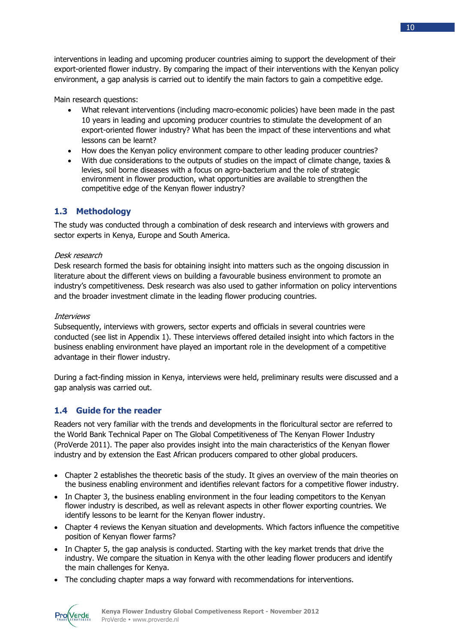interventions in leading and upcoming producer countries aiming to support the development of their export-oriented flower industry. By comparing the impact of their interventions with the Kenyan policy environment, a gap analysis is carried out to identify the main factors to gain a competitive edge.

Main research questions:

- What relevant interventions (including macro-economic policies) have been made in the past 10 years in leading and upcoming producer countries to stimulate the development of an export-oriented flower industry? What has been the impact of these interventions and what lessons can be learnt?
- How does the Kenyan policy environment compare to other leading producer countries?
- With due considerations to the outputs of studies on the impact of climate change, taxies & levies, soil borne diseases with a focus on agro-bacterium and the role of strategic environment in flower production, what opportunities are available to strengthen the competitive edge of the Kenyan flower industry?

## **1.3 Methodology**

The study was conducted through a combination of desk research and interviews with growers and sector experts in Kenya, Europe and South America.

## Desk research

Desk research formed the basis for obtaining insight into matters such as the ongoing discussion in literature about the different views on building a favourable business environment to promote an industry's competitiveness. Desk research was also used to gather information on policy interventions and the broader investment climate in the leading flower producing countries.

## Interviews

Subsequently, interviews with growers, sector experts and officials in several countries were conducted (see list in Appendix 1). These interviews offered detailed insight into which factors in the business enabling environment have played an important role in the development of a competitive advantage in their flower industry.

During a fact-finding mission in Kenya, interviews were held, preliminary results were discussed and a gap analysis was carried out.

## **1.4 Guide for the reader**

Readers not very familiar with the trends and developments in the floricultural sector are referred to the World Bank Technical Paper on The Global Competitiveness of The Kenyan Flower Industry (ProVerde 2011). The paper also provides insight into the main characteristics of the Kenyan flower industry and by extension the East African producers compared to other global producers.

- Chapter 2 establishes the theoretic basis of the study. It gives an overview of the main theories on the business enabling environment and identifies relevant factors for a competitive flower industry.
- In Chapter 3, the business enabling environment in the four leading competitors to the Kenyan flower industry is described, as well as relevant aspects in other flower exporting countries. We identify lessons to be learnt for the Kenyan flower industry.
- Chapter 4 reviews the Kenyan situation and developments. Which factors influence the competitive position of Kenyan flower farms?
- In Chapter 5, the gap analysis is conducted. Starting with the key market trends that drive the industry. We compare the situation in Kenya with the other leading flower producers and identify the main challenges for Kenya.
- The concluding chapter maps a way forward with recommendations for interventions.

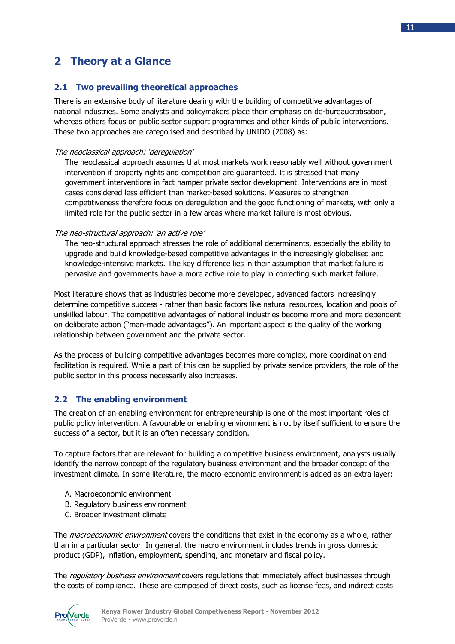## **2 Theory at a Glance**

## **2.1 Two prevailing theoretical approaches**

There is an extensive body of literature dealing with the building of competitive advantages of national industries. Some analysts and policymakers place their emphasis on de-bureaucratisation, whereas others focus on public sector support programmes and other kinds of public interventions. These two approaches are categorised and described by UNIDO (2008) as:

## The neoclassical approach: 'deregulation'

The neoclassical approach assumes that most markets work reasonably well without government intervention if property rights and competition are guaranteed. It is stressed that many government interventions in fact hamper private sector development. Interventions are in most cases considered less efficient than market-based solutions. Measures to strengthen competitiveness therefore focus on deregulation and the good functioning of markets, with only a limited role for the public sector in a few areas where market failure is most obvious.

The neo-structural approach: 'an active role'

The neo-structural approach stresses the role of additional determinants, especially the ability to upgrade and build knowledge-based competitive advantages in the increasingly globalised and knowledge-intensive markets. The key difference lies in their assumption that market failure is pervasive and governments have a more active role to play in correcting such market failure.

Most literature shows that as industries become more developed, advanced factors increasingly determine competitive success - rather than basic factors like natural resources, location and pools of unskilled labour. The competitive advantages of national industries become more and more dependent on deliberate action ("man-made advantages"). An important aspect is the quality of the working relationship between government and the private sector.

As the process of building competitive advantages becomes more complex, more coordination and facilitation is required. While a part of this can be supplied by private service providers, the role of the public sector in this process necessarily also increases.

## **2.2 The enabling environment**

The creation of an enabling environment for entrepreneurship is one of the most important roles of public policy intervention. A favourable or enabling environment is not by itself sufficient to ensure the success of a sector, but it is an often necessary condition.

To capture factors that are relevant for building a competitive business environment, analysts usually identify the narrow concept of the regulatory business environment and the broader concept of the investment climate. In some literature, the macro-economic environment is added as an extra layer:

- A. Macroeconomic environment
- B. Regulatory business environment
- C. Broader investment climate

The *macroeconomic environment* covers the conditions that exist in the economy as a whole, rather than in a particular sector. In general, the macro environment includes trends in gross domestic product (GDP), inflation, employment, spending, and monetary and fiscal policy.

The regulatory business environment covers regulations that immediately affect businesses through the costs of compliance. These are composed of direct costs, such as license fees, and indirect costs

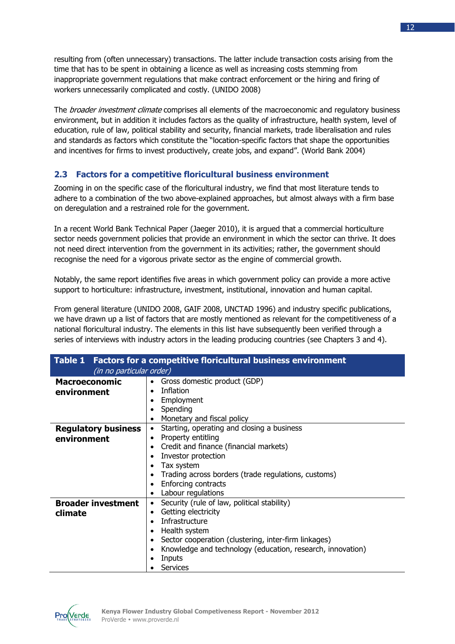resulting from (often unnecessary) transactions. The latter include transaction costs arising from the time that has to be spent in obtaining a licence as well as increasing costs stemming from inappropriate government regulations that make contract enforcement or the hiring and firing of workers unnecessarily complicated and costly. (UNIDO 2008)

The *broader investment climate* comprises all elements of the macroeconomic and regulatory business environment, but in addition it includes factors as the quality of infrastructure, health system, level of education, rule of law, political stability and security, financial markets, trade liberalisation and rules and standards as factors which constitute the "location-specific factors that shape the opportunities and incentives for firms to invest productively, create jobs, and expand". (World Bank 2004)

## **2.3 Factors for a competitive floricultural business environment**

Zooming in on the specific case of the floricultural industry, we find that most literature tends to adhere to a combination of the two above-explained approaches, but almost always with a firm base on deregulation and a restrained role for the government.

In a recent World Bank Technical Paper (Jaeger 2010), it is argued that a commercial horticulture sector needs government policies that provide an environment in which the sector can thrive. It does not need direct intervention from the government in its activities; rather, the government should recognise the need for a vigorous private sector as the engine of commercial growth.

Notably, the same report identifies five areas in which government policy can provide a more active support to horticulture: infrastructure, investment, institutional, innovation and human capital.

From general literature (UNIDO 2008, GAIF 2008, UNCTAD 1996) and industry specific publications, we have drawn up a list of factors that are mostly mentioned as relevant for the competitiveness of a national floricultural industry. The elements in this list have subsequently been verified through a series of interviews with industry actors in the leading producing countries (see Chapters 3 and 4).

| Table 1 Factors for a competitive floricultural business environment |                                                            |  |  |  |  |
|----------------------------------------------------------------------|------------------------------------------------------------|--|--|--|--|
| (in no particular order)                                             |                                                            |  |  |  |  |
| <b>Macroeconomic</b>                                                 | Gross domestic product (GDP)                               |  |  |  |  |
| environment                                                          | Inflation                                                  |  |  |  |  |
|                                                                      | Employment<br>٠                                            |  |  |  |  |
|                                                                      | Spending                                                   |  |  |  |  |
|                                                                      | Monetary and fiscal policy                                 |  |  |  |  |
| <b>Regulatory business</b>                                           | Starting, operating and closing a business<br>$\bullet$    |  |  |  |  |
| environment                                                          | Property entitling<br>٠                                    |  |  |  |  |
|                                                                      | Credit and finance (financial markets)<br>$\bullet$        |  |  |  |  |
|                                                                      | Investor protection                                        |  |  |  |  |
|                                                                      | Tax system                                                 |  |  |  |  |
|                                                                      | Trading across borders (trade regulations, customs)        |  |  |  |  |
|                                                                      | Enforcing contracts<br>٠                                   |  |  |  |  |
|                                                                      | Labour regulations<br>٠                                    |  |  |  |  |
| <b>Broader investment</b>                                            | Security (rule of law, political stability)                |  |  |  |  |
| climate                                                              | Getting electricity<br>٠                                   |  |  |  |  |
|                                                                      | Infrastructure                                             |  |  |  |  |
|                                                                      | Health system<br>٠                                         |  |  |  |  |
|                                                                      | Sector cooperation (clustering, inter-firm linkages)       |  |  |  |  |
|                                                                      | Knowledge and technology (education, research, innovation) |  |  |  |  |
|                                                                      | Inputs                                                     |  |  |  |  |
|                                                                      | Services                                                   |  |  |  |  |

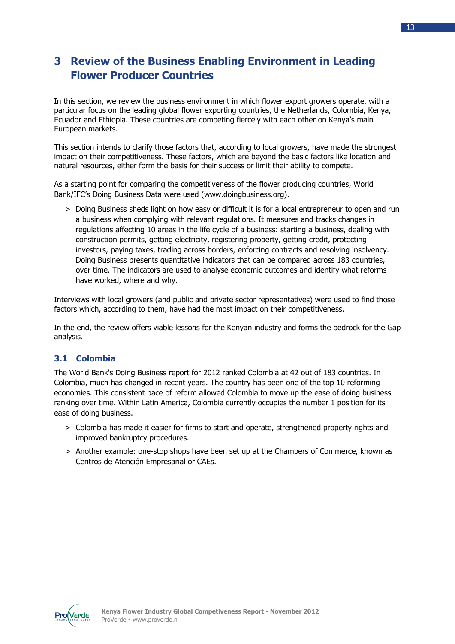## **3 Review of the Business Enabling Environment in Leading Flower Producer Countries**

In this section, we review the business environment in which flower export growers operate, with a particular focus on the leading global flower exporting countries, the Netherlands, Colombia, Kenya, Ecuador and Ethiopia. These countries are competing fiercely with each other on Kenya's main European markets.

This section intends to clarify those factors that, according to local growers, have made the strongest impact on their competitiveness. These factors, which are beyond the basic factors like location and natural resources, either form the basis for their success or limit their ability to compete.

As a starting point for comparing the competitiveness of the flower producing countries, World Bank/IFC's Doing Business Data were used (www.doingbusiness.org).

> Doing Business sheds light on how easy or difficult it is for a local entrepreneur to open and run a business when complying with relevant regulations. It measures and tracks changes in regulations affecting 10 areas in the life cycle of a business: starting a business, dealing with construction permits, getting electricity, registering property, getting credit, protecting investors, paying taxes, trading across borders, enforcing contracts and resolving insolvency. Doing Business presents quantitative indicators that can be compared across 183 countries, over time. The indicators are used to analyse economic outcomes and identify what reforms have worked, where and why.

Interviews with local growers (and public and private sector representatives) were used to find those factors which, according to them, have had the most impact on their competitiveness.

In the end, the review offers viable lessons for the Kenyan industry and forms the bedrock for the Gap analysis.

## **3.1 Colombia**

The World Bank's Doing Business report for 2012 ranked Colombia at 42 out of 183 countries. In Colombia, much has changed in recent years. The country has been one of the top 10 reforming economies. This consistent pace of reform allowed Colombia to move up the ease of doing business ranking over time. Within Latin America, Colombia currently occupies the number 1 position for its ease of doing business.

- > Colombia has made it easier for firms to start and operate, strengthened property rights and improved bankruptcy procedures.
- > Another example: one-stop shops have been set up at the Chambers of Commerce, known as Centros de Atención Empresarial or CAEs.

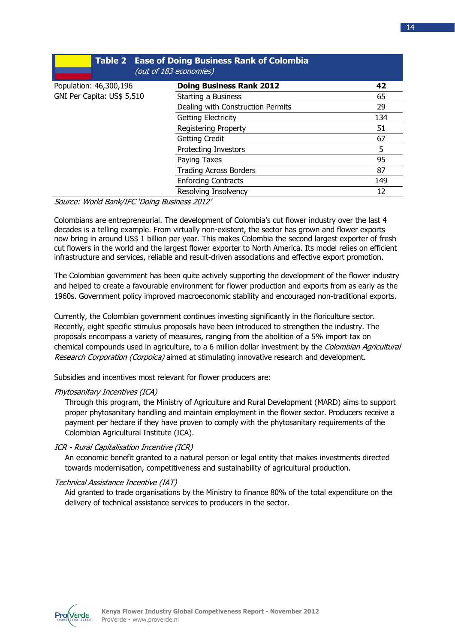|                            | <b>Table 2 Ease of Doing Business Rank of Colombia</b><br>(out of 183 economies) |     |
|----------------------------|----------------------------------------------------------------------------------|-----|
| Population: 46,300,196     | <b>Doing Business Rank 2012</b>                                                  | 42  |
| GNI Per Capita: US\$ 5,510 | Starting a Business                                                              | 65  |
|                            | Dealing with Construction Permits                                                | 29  |
|                            | <b>Getting Electricity</b>                                                       | 134 |
|                            | <b>Registering Property</b>                                                      | 51  |
|                            | Getting Credit                                                                   | 67  |
|                            | <b>Protecting Investors</b>                                                      | 5   |
|                            | Paying Taxes                                                                     | 95  |
|                            | <b>Trading Across Borders</b>                                                    | 87  |
|                            | <b>Enforcing Contracts</b>                                                       | 149 |
|                            | Resolving Insolvency                                                             | 12  |

Source: World Bank/IFC 'Doing Business 2012'

Colombians are entrepreneurial. The development of Colombia's cut flower industry over the last 4 decades is a telling example. From virtually non-existent, the sector has grown and flower exports now bring in around US\$ 1 billion per year. This makes Colombia the second largest exporter of fresh cut flowers in the world and the largest flower exporter to North America. Its model relies on efficient infrastructure and services, reliable and result-driven associations and effective export promotion.

The Colombian government has been quite actively supporting the development of the flower industry and helped to create a favourable environment for flower production and exports from as early as the 1960s. Government policy improved macroeconomic stability and encouraged non-traditional exports.

Currently, the Colombian government continues investing significantly in the floriculture sector. Recently, eight specific stimulus proposals have been introduced to strengthen the industry. The proposals encompass a variety of measures, ranging from the abolition of a 5% import tax on chemical compounds used in agriculture, to a 6 million dollar investment by the Colombian Agricultural Research Corporation (Corpoica) aimed at stimulating innovative research and development.

Subsidies and incentives most relevant for flower producers are:

## Phytosanitary Incentives (ICA)

Through this program, the Ministry of Agriculture and Rural Development (MARD) aims to support proper phytosanitary handling and maintain employment in the flower sector. Producers receive a payment per hectare if they have proven to comply with the phytosanitary requirements of the Colombian Agricultural Institute (ICA).

## ICR - Rural Capitalisation Incentive (ICR)

An economic benefit granted to a natural person or legal entity that makes investments directed towards modernisation, competitiveness and sustainability of agricultural production.

## Technical Assistance Incentive (IAT)

Aid granted to trade organisations by the Ministry to finance 80% of the total expenditure on the delivery of technical assistance services to producers in the sector.

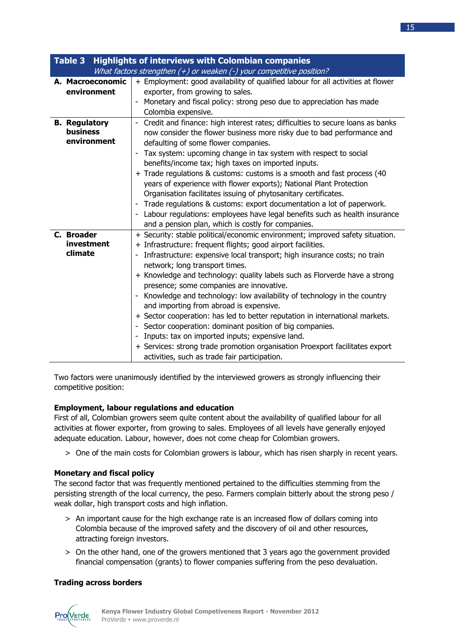| <b>Highlights of interviews with Colombian companies</b><br>Table 3 |                                                                                                                                                                                                                                                                                                                                                                                                                                                                                                                                                                                                                                                                                                                                                                                                                                                                         |  |  |  |  |
|---------------------------------------------------------------------|-------------------------------------------------------------------------------------------------------------------------------------------------------------------------------------------------------------------------------------------------------------------------------------------------------------------------------------------------------------------------------------------------------------------------------------------------------------------------------------------------------------------------------------------------------------------------------------------------------------------------------------------------------------------------------------------------------------------------------------------------------------------------------------------------------------------------------------------------------------------------|--|--|--|--|
|                                                                     | What factors strengthen (+) or weaken (-) your competitive position?                                                                                                                                                                                                                                                                                                                                                                                                                                                                                                                                                                                                                                                                                                                                                                                                    |  |  |  |  |
| A. Macroeconomic<br>environment                                     | + Employment: good availability of qualified labour for all activities at flower<br>exporter, from growing to sales.<br>Monetary and fiscal policy: strong peso due to appreciation has made<br>Colombia expensive.                                                                                                                                                                                                                                                                                                                                                                                                                                                                                                                                                                                                                                                     |  |  |  |  |
| <b>B.</b> Regulatory<br><b>business</b><br>environment              | Credit and finance: high interest rates; difficulties to secure loans as banks<br>$\qquad \qquad \blacksquare$<br>now consider the flower business more risky due to bad performance and<br>defaulting of some flower companies.<br>Tax system: upcoming change in tax system with respect to social<br>$\overline{\phantom{0}}$<br>benefits/income tax; high taxes on imported inputs.<br>+ Trade regulations & customs: customs is a smooth and fast process (40<br>years of experience with flower exports); National Plant Protection<br>Organisation facilitates issuing of phytosanitary certificates.<br>Trade regulations & customs: export documentation a lot of paperwork.<br>Labour regulations: employees have legal benefits such as health insurance<br>and a pension plan, which is costly for companies.                                               |  |  |  |  |
| C. Broader<br>investment<br>climate                                 | + Security: stable political/economic environment; improved safety situation.<br>+ Infrastructure: frequent flights; good airport facilities.<br>Infrastructure: expensive local transport; high insurance costs; no train<br>$\overline{\phantom{a}}$<br>network; long transport times.<br>+ Knowledge and technology: quality labels such as Florverde have a strong<br>presence; some companies are innovative.<br>Knowledge and technology: low availability of technology in the country<br>and importing from abroad is expensive.<br>+ Sector cooperation: has led to better reputation in international markets.<br>Sector cooperation: dominant position of big companies.<br>Inputs: tax on imported inputs; expensive land.<br>+ Services: strong trade promotion organisation Proexport facilitates export<br>activities, such as trade fair participation. |  |  |  |  |

Two factors were unanimously identified by the interviewed growers as strongly influencing their competitive position:

## **Employment, labour regulations and education**

First of all, Colombian growers seem quite content about the availability of qualified labour for all activities at flower exporter, from growing to sales. Employees of all levels have generally enjoyed adequate education. Labour, however, does not come cheap for Colombian growers.

> One of the main costs for Colombian growers is labour, which has risen sharply in recent years.

## **Monetary and fiscal policy**

The second factor that was frequently mentioned pertained to the difficulties stemming from the persisting strength of the local currency, the peso. Farmers complain bitterly about the strong peso / weak dollar, high transport costs and high inflation.

- > An important cause for the high exchange rate is an increased flow of dollars coming into Colombia because of the improved safety and the discovery of oil and other resources, attracting foreign investors.
- > On the other hand, one of the growers mentioned that 3 years ago the government provided financial compensation (grants) to flower companies suffering from the peso devaluation.

#### **Trading across borders**

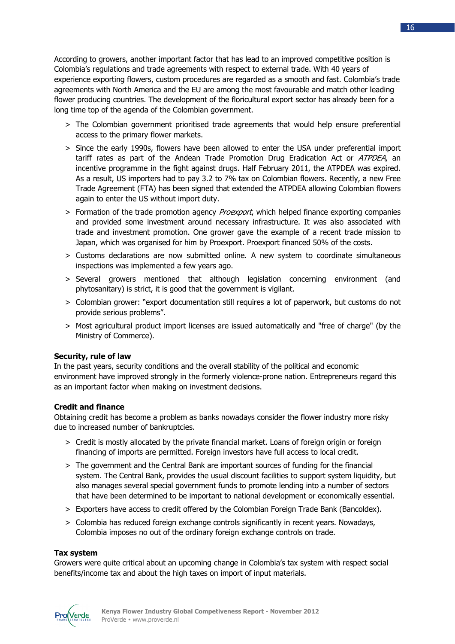According to growers, another important factor that has lead to an improved competitive position is Colombia's regulations and trade agreements with respect to external trade. With 40 years of experience exporting flowers, custom procedures are regarded as a smooth and fast. Colombia's trade agreements with North America and the EU are among the most favourable and match other leading flower producing countries. The development of the floricultural export sector has already been for a long time top of the agenda of the Colombian government.

- > The Colombian government prioritised trade agreements that would help ensure preferential access to the primary flower markets.
- > Since the early 1990s, flowers have been allowed to enter the USA under preferential import tariff rates as part of the Andean Trade Promotion Drug Eradication Act or ATPDEA, an incentive programme in the fight against drugs. Half February 2011, the ATPDEA was expired. As a result, US importers had to pay 3.2 to 7% tax on Colombian flowers. Recently, a new Free Trade Agreement (FTA) has been signed that extended the ATPDEA allowing Colombian flowers again to enter the US without import duty.
- > Formation of the trade promotion agency *Proexport*, which helped finance exporting companies and provided some investment around necessary infrastructure. It was also associated with trade and investment promotion. One grower gave the example of a recent trade mission to Japan, which was organised for him by Proexport. Proexport financed 50% of the costs.
- > Customs declarations are now submitted online. A new system to coordinate simultaneous inspections was implemented a few years ago.
- > Several growers mentioned that although legislation concerning environment (and phytosanitary) is strict, it is good that the government is vigilant.
- > Colombian grower: "export documentation still requires a lot of paperwork, but customs do not provide serious problems".
- > Most agricultural product import licenses are issued automatically and "free of charge" (by the Ministry of Commerce).

## **Security, rule of law**

In the past years, security conditions and the overall stability of the political and economic environment have improved strongly in the formerly violence-prone nation. Entrepreneurs regard this as an important factor when making on investment decisions.

## **Credit and finance**

Obtaining credit has become a problem as banks nowadays consider the flower industry more risky due to increased number of bankruptcies.

- > Credit is mostly allocated by the private financial market. Loans of foreign origin or foreign financing of imports are permitted. Foreign investors have full access to local credit.
- > The government and the Central Bank are important sources of funding for the financial system. The Central Bank, provides the usual discount facilities to support system liquidity, but also manages several special government funds to promote lending into a number of sectors that have been determined to be important to national development or economically essential.
- > Exporters have access to credit offered by the Colombian Foreign Trade Bank (Bancoldex).
- > Colombia has reduced foreign exchange controls significantly in recent years. Nowadays, Colombia imposes no out of the ordinary foreign exchange controls on trade.

## **Tax system**

Growers were quite critical about an upcoming change in Colombia's tax system with respect social benefits/income tax and about the high taxes on import of input materials.

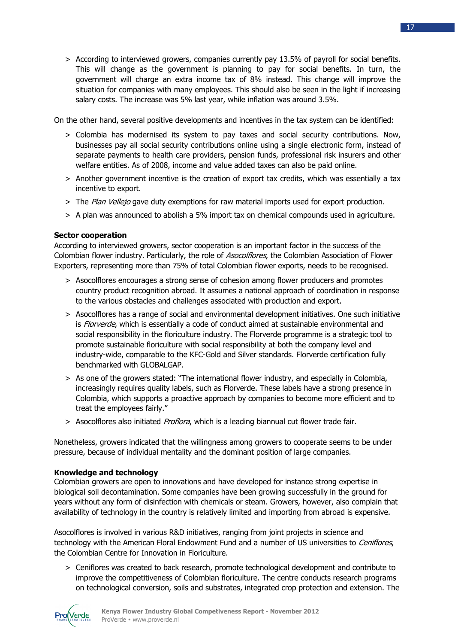> According to interviewed growers, companies currently pay 13.5% of payroll for social benefits. This will change as the government is planning to pay for social benefits. In turn, the government will charge an extra income tax of 8% instead. This change will improve the situation for companies with many employees. This should also be seen in the light if increasing salary costs. The increase was 5% last year, while inflation was around 3.5%.

On the other hand, several positive developments and incentives in the tax system can be identified:

- > Colombia has modernised its system to pay taxes and social security contributions. Now, businesses pay all social security contributions online using a single electronic form, instead of separate payments to health care providers, pension funds, professional risk insurers and other welfare entities. As of 2008, income and value added taxes can also be paid online.
- > Another government incentive is the creation of export tax credits, which was essentially a tax incentive to export.
- > The Plan Vellejo gave duty exemptions for raw material imports used for export production.
- > A plan was announced to abolish a 5% import tax on chemical compounds used in agriculture.

## **Sector cooperation**

According to interviewed growers, sector cooperation is an important factor in the success of the Colombian flower industry. Particularly, the role of Asocolflores, the Colombian Association of Flower Exporters, representing more than 75% of total Colombian flower exports, needs to be recognised.

- > Asocolflores encourages a strong sense of cohesion among flower producers and promotes country product recognition abroad. It assumes a national approach of coordination in response to the various obstacles and challenges associated with production and export.
- > Asocolflores has a range of social and environmental development initiatives. One such initiative is *Florverde*, which is essentially a code of conduct aimed at sustainable environmental and social responsibility in the floriculture industry. The Florverde programme is a strategic tool to promote sustainable floriculture with social responsibility at both the company level and industry-wide, comparable to the KFC-Gold and Silver standards. Florverde certification fully benchmarked with GLOBALGAP.
- > As one of the growers stated: "The international flower industry, and especially in Colombia, increasingly requires quality labels, such as Florverde. These labels have a strong presence in Colombia, which supports a proactive approach by companies to become more efficient and to treat the employees fairly."
- > Asocolflores also initiated Proflora, which is a leading biannual cut flower trade fair.

Nonetheless, growers indicated that the willingness among growers to cooperate seems to be under pressure, because of individual mentality and the dominant position of large companies.

#### **Knowledge and technology**

Colombian growers are open to innovations and have developed for instance strong expertise in biological soil decontamination. Some companies have been growing successfully in the ground for years without any form of disinfection with chemicals or steam. Growers, however, also complain that availability of technology in the country is relatively limited and importing from abroad is expensive.

Asocolflores is involved in various R&D initiatives, ranging from joint projects in science and technology with the American Floral Endowment Fund and a number of US universities to Ceniflores, the Colombian Centre for Innovation in Floriculture.

> Ceniflores was created to back research, promote technological development and contribute to improve the competitiveness of Colombian floriculture. The centre conducts research programs on technological conversion, soils and substrates, integrated crop protection and extension. The

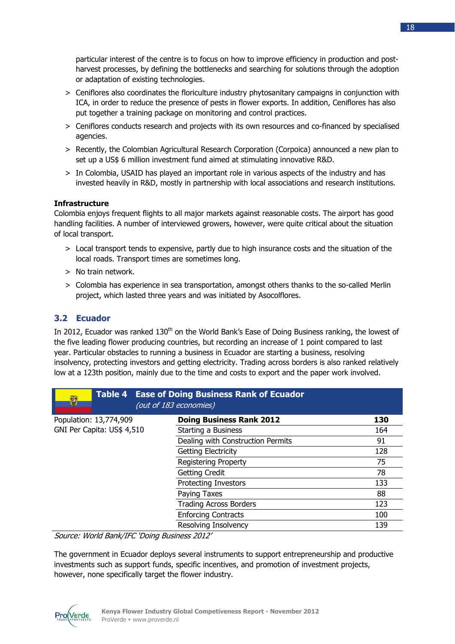particular interest of the centre is to focus on how to improve efficiency in production and postharvest processes, by defining the bottlenecks and searching for solutions through the adoption or adaptation of existing technologies.

- > Ceniflores also coordinates the floriculture industry phytosanitary campaigns in conjunction with ICA, in order to reduce the presence of pests in flower exports. In addition, Ceniflores has also put together a training package on monitoring and control practices.
- > Ceniflores conducts research and projects with its own resources and co-financed by specialised agencies.
- > Recently, the Colombian Agricultural Research Corporation (Corpoica) announced a new plan to set up a US\$ 6 million investment fund aimed at stimulating innovative R&D.
- > In Colombia, USAID has played an important role in various aspects of the industry and has invested heavily in R&D, mostly in partnership with local associations and research institutions.

## **Infrastructure**

Colombia enjoys frequent flights to all major markets against reasonable costs. The airport has good handling facilities. A number of interviewed growers, however, were quite critical about the situation of local transport.

- > Local transport tends to expensive, partly due to high insurance costs and the situation of the local roads. Transport times are sometimes long.
- > No train network.
- > Colombia has experience in sea transportation, amongst others thanks to the so-called Merlin project, which lasted three years and was initiated by Asocolflores.

## **3.2 Ecuador**

In 2012, Ecuador was ranked 130<sup>th</sup> on the World Bank's Ease of Doing Business ranking, the lowest of the five leading flower producing countries, but recording an increase of 1 point compared to last year. Particular obstacles to running a business in Ecuador are starting a business, resolving insolvency, protecting investors and getting electricity. Trading across borders is also ranked relatively low at a 123th position, mainly due to the time and costs to export and the paper work involved.

| Û                                                                                                  | <b>Table 4 Ease of Doing Business Rank of Ecuador</b><br>(out of 183 economies) |     |
|----------------------------------------------------------------------------------------------------|---------------------------------------------------------------------------------|-----|
| Population: 13,774,909                                                                             | <b>Doing Business Rank 2012</b>                                                 | 130 |
| GNI Per Capita: US\$ 4,510                                                                         | Starting a Business                                                             | 164 |
|                                                                                                    | Dealing with Construction Permits                                               | 91  |
|                                                                                                    | <b>Getting Electricity</b>                                                      | 128 |
|                                                                                                    | <b>Registering Property</b>                                                     | 75  |
|                                                                                                    | <b>Getting Credit</b>                                                           | 78  |
|                                                                                                    | <b>Protecting Investors</b>                                                     | 133 |
|                                                                                                    | Paying Taxes                                                                    | 88  |
|                                                                                                    | <b>Trading Across Borders</b>                                                   | 123 |
|                                                                                                    | <b>Enforcing Contracts</b>                                                      | 100 |
|                                                                                                    | Resolving Insolvency                                                            | 139 |
| $\sigma$ $\mu$ $\mu$ $\sigma$ $\mu$ $\sigma$ $\sigma$ $\sigma$ $\sigma$ $\sigma$ $\sigma$ $\sigma$ |                                                                                 |     |

Source: World Bank/IFC 'Doing Business 2012'

The government in Ecuador deploys several instruments to support entrepreneurship and productive investments such as support funds, specific incentives, and promotion of investment projects, however, none specifically target the flower industry.

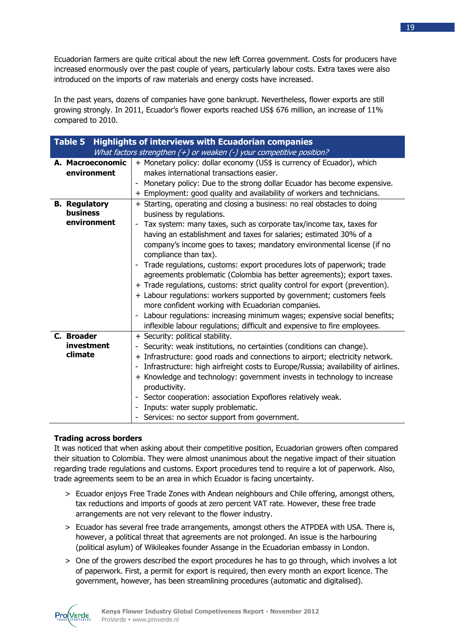Ecuadorian farmers are quite critical about the new left Correa government. Costs for producers have increased enormously over the past couple of years, particularly labour costs. Extra taxes were also introduced on the imports of raw materials and energy costs have increased.

In the past years, dozens of companies have gone bankrupt. Nevertheless, flower exports are still growing strongly. In 2011, Ecuador's flower exports reached US\$ 676 million, an increase of 11% compared to 2010.

| <b>Highlights of interviews with Ecuadorian companies</b><br>Table 5 |                                                                                                                                                                                                                                                                                                                                                                                                                                                                                                                                                                                                                                                                                                                                                                                                                                                                                                                 |  |  |  |
|----------------------------------------------------------------------|-----------------------------------------------------------------------------------------------------------------------------------------------------------------------------------------------------------------------------------------------------------------------------------------------------------------------------------------------------------------------------------------------------------------------------------------------------------------------------------------------------------------------------------------------------------------------------------------------------------------------------------------------------------------------------------------------------------------------------------------------------------------------------------------------------------------------------------------------------------------------------------------------------------------|--|--|--|
|                                                                      | What factors strengthen $(+)$ or weaken $(-)$ your competitive position?                                                                                                                                                                                                                                                                                                                                                                                                                                                                                                                                                                                                                                                                                                                                                                                                                                        |  |  |  |
| A. Macroeconomic<br>environment                                      | + Monetary policy: dollar economy (US\$ is currency of Ecuador), which<br>makes international transactions easier.<br>Monetary policy: Due to the strong dollar Ecuador has become expensive.<br>+ Employment: good quality and availability of workers and technicians.                                                                                                                                                                                                                                                                                                                                                                                                                                                                                                                                                                                                                                        |  |  |  |
| <b>B.</b> Regulatory<br>business<br>environment                      | + Starting, operating and closing a business: no real obstacles to doing<br>business by regulations.<br>Tax system: many taxes, such as corporate tax/income tax, taxes for<br>$\overline{\phantom{a}}$<br>having an establishment and taxes for salaries; estimated 30% of a<br>company's income goes to taxes; mandatory environmental license (if no<br>compliance than tax).<br>- Trade regulations, customs: export procedures lots of paperwork; trade<br>agreements problematic (Colombia has better agreements); export taxes.<br>+ Trade regulations, customs: strict quality control for export (prevention).<br>+ Labour regulations: workers supported by government; customers feels<br>more confident working with Ecuadorian companies.<br>Labour regulations: increasing minimum wages; expensive social benefits;<br>inflexible labour regulations; difficult and expensive to fire employees. |  |  |  |
| C. Broader<br>investment<br>climate                                  | + Security: political stability.<br>Security: weak institutions, no certainties (conditions can change).<br>+ Infrastructure: good roads and connections to airport; electricity network.<br>Infrastructure: high airfreight costs to Europe/Russia; availability of airlines.<br>$\overline{\phantom{a}}$<br>+ Knowledge and technology: government invests in technology to increase<br>productivity.<br>Sector cooperation: association Expoflores relatively weak.<br>$\sim$<br>Inputs: water supply problematic.<br>- Services: no sector support from government.                                                                                                                                                                                                                                                                                                                                         |  |  |  |

## **Trading across borders**

It was noticed that when asking about their competitive position, Ecuadorian growers often compared their situation to Colombia. They were almost unanimous about the negative impact of their situation regarding trade regulations and customs. Export procedures tend to require a lot of paperwork. Also, trade agreements seem to be an area in which Ecuador is facing uncertainty.

- > Ecuador enjoys Free Trade Zones with Andean neighbours and Chile offering, amongst others, tax reductions and imports of goods at zero percent VAT rate. However, these free trade arrangements are not very relevant to the flower industry.
- > Ecuador has several free trade arrangements, amongst others the ATPDEA with USA. There is, however, a political threat that agreements are not prolonged. An issue is the harbouring (political asylum) of Wikileakes founder Assange in the Ecuadorian embassy in London.
- > One of the growers described the export procedures he has to go through, which involves a lot of paperwork. First, a permit for export is required, then every month an export licence. The government, however, has been streamlining procedures (automatic and digitalised).

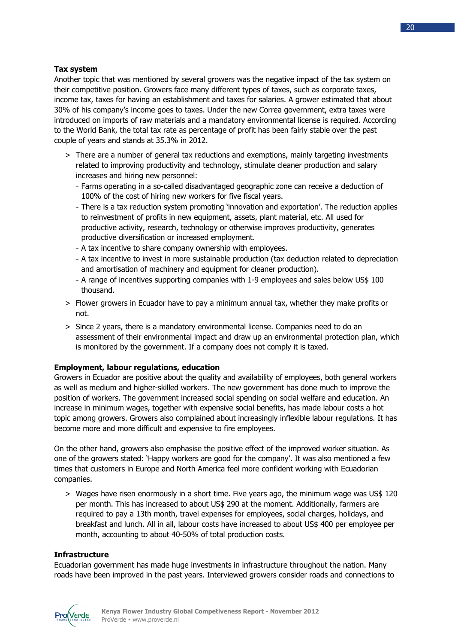## **Tax system**

Another topic that was mentioned by several growers was the negative impact of the tax system on their competitive position. Growers face many different types of taxes, such as corporate taxes, income tax, taxes for having an establishment and taxes for salaries. A grower estimated that about 30% of his company's income goes to taxes. Under the new Correa government, extra taxes were introduced on imports of raw materials and a mandatory environmental license is required. According to the World Bank, the total tax rate as percentage of profit has been fairly stable over the past couple of years and stands at 35.3% in 2012.

- > There are a number of general tax reductions and exemptions, mainly targeting investments related to improving productivity and technology, stimulate cleaner production and salary increases and hiring new personnel:
	- Farms operating in a so-called disadvantaged geographic zone can receive a deduction of 100% of the cost of hiring new workers for five fiscal years.
	- There is a tax reduction system promoting 'innovation and exportation'. The reduction applies to reinvestment of profits in new equipment, assets, plant material, etc. All used for productive activity, research, technology or otherwise improves productivity, generates productive diversification or increased employment.
	- A tax incentive to share company ownership with employees.
	- A tax incentive to invest in more sustainable production (tax deduction related to depreciation and amortisation of machinery and equipment for cleaner production).
	- A range of incentives supporting companies with 1-9 employees and sales below US\$ 100 thousand.
- > Flower growers in Ecuador have to pay a minimum annual tax, whether they make profits or not.
- > Since 2 years, there is a mandatory environmental license. Companies need to do an assessment of their environmental impact and draw up an environmental protection plan, which is monitored by the government. If a company does not comply it is taxed.

## **Employment, labour regulations, education**

Growers in Ecuador are positive about the quality and availability of employees, both general workers as well as medium and higher-skilled workers. The new government has done much to improve the position of workers. The government increased social spending on social welfare and education. An increase in minimum wages, together with expensive social benefits, has made labour costs a hot topic among growers. Growers also complained about increasingly inflexible labour regulations. It has become more and more difficult and expensive to fire employees.

On the other hand, growers also emphasise the positive effect of the improved worker situation. As one of the growers stated: 'Happy workers are good for the company'. It was also mentioned a few times that customers in Europe and North America feel more confident working with Ecuadorian companies.

> Wages have risen enormously in a short time. Five years ago, the minimum wage was US\$ 120 per month. This has increased to about US\$ 290 at the moment. Additionally, farmers are required to pay a 13th month, travel expenses for employees, social charges, holidays, and breakfast and lunch. All in all, labour costs have increased to about US\$ 400 per employee per month, accounting to about 40-50% of total production costs.

## **Infrastructure**

Ecuadorian government has made huge investments in infrastructure throughout the nation. Many roads have been improved in the past years. Interviewed growers consider roads and connections to

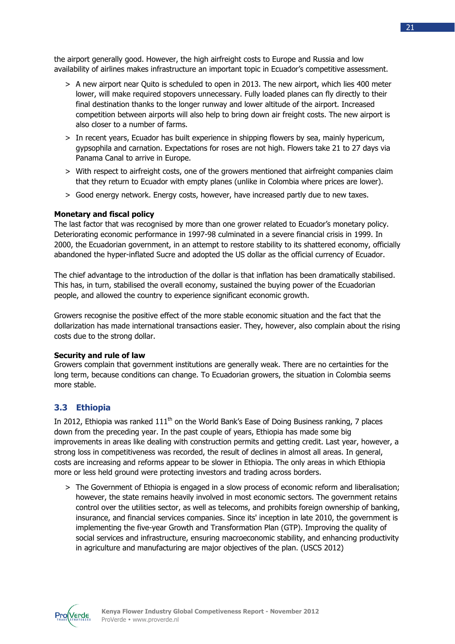the airport generally good. However, the high airfreight costs to Europe and Russia and low availability of airlines makes infrastructure an important topic in Ecuador's competitive assessment.

- > A new airport near Quito is scheduled to open in 2013. The new airport, which lies 400 meter lower, will make required stopovers unnecessary. Fully loaded planes can fly directly to their final destination thanks to the longer runway and lower altitude of the airport. Increased competition between airports will also help to bring down air freight costs. The new airport is also closer to a number of farms.
- > In recent years, Ecuador has built experience in shipping flowers by sea, mainly hypericum, gypsophila and carnation. Expectations for roses are not high. Flowers take 21 to 27 days via Panama Canal to arrive in Europe.
- > With respect to airfreight costs, one of the growers mentioned that airfreight companies claim that they return to Ecuador with empty planes (unlike in Colombia where prices are lower).
- > Good energy network. Energy costs, however, have increased partly due to new taxes.

## **Monetary and fiscal policy**

The last factor that was recognised by more than one grower related to Ecuador's monetary policy. Deteriorating economic performance in 1997-98 culminated in a severe financial crisis in 1999. In 2000, the Ecuadorian government, in an attempt to restore stability to its shattered economy, officially abandoned the hyper-inflated Sucre and adopted the US dollar as the official currency of Ecuador.

The chief advantage to the introduction of the dollar is that inflation has been dramatically stabilised. This has, in turn, stabilised the overall economy, sustained the buying power of the Ecuadorian people, and allowed the country to experience significant economic growth.

Growers recognise the positive effect of the more stable economic situation and the fact that the dollarization has made international transactions easier. They, however, also complain about the rising costs due to the strong dollar.

## **Security and rule of law**

Growers complain that government institutions are generally weak. There are no certainties for the long term, because conditions can change. To Ecuadorian growers, the situation in Colombia seems more stable.

## **3.3 Ethiopia**

In 2012, Ethiopia was ranked  $111<sup>th</sup>$  on the World Bank's Ease of Doing Business ranking, 7 places down from the preceding year. In the past couple of years, Ethiopia has made some big improvements in areas like dealing with construction permits and getting credit. Last year, however, a strong loss in competitiveness was recorded, the result of declines in almost all areas. In general, costs are increasing and reforms appear to be slower in Ethiopia. The only areas in which Ethiopia more or less held ground were protecting investors and trading across borders.

> The Government of Ethiopia is engaged in a slow process of economic reform and liberalisation; however, the state remains heavily involved in most economic sectors. The government retains control over the utilities sector, as well as telecoms, and prohibits foreign ownership of banking, insurance, and financial services companies. Since its' inception in late 2010, the government is implementing the five-year Growth and Transformation Plan (GTP). Improving the quality of social services and infrastructure, ensuring macroeconomic stability, and enhancing productivity in agriculture and manufacturing are major objectives of the plan. (USCS 2012)

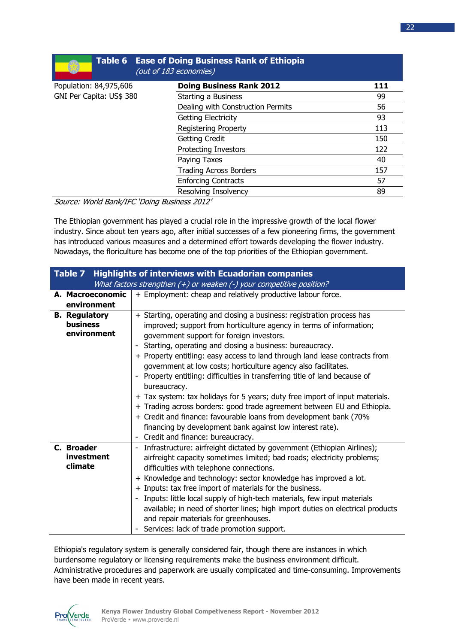|                          | <b>Table 6 Ease of Doing Business Rank of Ethiopia</b><br>(out of 183 economies) |     |
|--------------------------|----------------------------------------------------------------------------------|-----|
| Population: 84,975,606   | <b>Doing Business Rank 2012</b>                                                  | 111 |
| GNI Per Capita: US\$ 380 | Starting a Business                                                              | 99  |
|                          | Dealing with Construction Permits                                                | 56  |
|                          | Getting Electricity                                                              | 93  |
|                          | <b>Registering Property</b>                                                      | 113 |
|                          | <b>Getting Credit</b>                                                            | 150 |
|                          | <b>Protecting Investors</b>                                                      | 122 |
|                          | Paying Taxes                                                                     | 40  |
|                          | <b>Trading Across Borders</b>                                                    | 157 |
|                          | <b>Enforcing Contracts</b>                                                       | 57  |
|                          | Resolving Insolvency                                                             | 89  |

Source: World Bank/IFC 'Doing Business 2012'

The Ethiopian government has played a crucial role in the impressive growth of the local flower industry. Since about ten years ago, after initial successes of a few pioneering firms, the government has introduced various measures and a determined effort towards developing the flower industry. Nowadays, the floriculture has become one of the top priorities of the Ethiopian government.

| <b>Highlights of interviews with Ecuadorian companies</b><br>Table 7 |                                                                                |  |  |  |  |  |
|----------------------------------------------------------------------|--------------------------------------------------------------------------------|--|--|--|--|--|
|                                                                      | What factors strengthen (+) or weaken (-) your competitive position?           |  |  |  |  |  |
| A. Macroeconomic                                                     | + Employment: cheap and relatively productive labour force.                    |  |  |  |  |  |
| environment                                                          |                                                                                |  |  |  |  |  |
| <b>B.</b> Regulatory                                                 | + Starting, operating and closing a business: registration process has         |  |  |  |  |  |
| business                                                             | improved; support from horticulture agency in terms of information;            |  |  |  |  |  |
| environment                                                          | government support for foreign investors.                                      |  |  |  |  |  |
|                                                                      | Starting, operating and closing a business: bureaucracy.                       |  |  |  |  |  |
|                                                                      | + Property entitling: easy access to land through land lease contracts from    |  |  |  |  |  |
|                                                                      | government at low costs; horticulture agency also facilitates.                 |  |  |  |  |  |
|                                                                      | Property entitling: difficulties in transferring title of land because of      |  |  |  |  |  |
|                                                                      | bureaucracy.                                                                   |  |  |  |  |  |
|                                                                      | + Tax system: tax holidays for 5 years; duty free import of input materials.   |  |  |  |  |  |
|                                                                      | + Trading across borders: good trade agreement between EU and Ethiopia.        |  |  |  |  |  |
|                                                                      | + Credit and finance: favourable loans from development bank (70%              |  |  |  |  |  |
|                                                                      | financing by development bank against low interest rate).                      |  |  |  |  |  |
|                                                                      | - Credit and finance: bureaucracy.                                             |  |  |  |  |  |
| C. Broader                                                           | Infrastructure: airfreight dictated by government (Ethiopian Airlines);        |  |  |  |  |  |
| investment                                                           | airfreight capacity sometimes limited; bad roads; electricity problems;        |  |  |  |  |  |
| climate                                                              | difficulties with telephone connections.                                       |  |  |  |  |  |
|                                                                      | + Knowledge and technology: sector knowledge has improved a lot.               |  |  |  |  |  |
|                                                                      | + Inputs: tax free import of materials for the business.                       |  |  |  |  |  |
|                                                                      | Inputs: little local supply of high-tech materials, few input materials        |  |  |  |  |  |
|                                                                      | available; in need of shorter lines; high import duties on electrical products |  |  |  |  |  |
|                                                                      | and repair materials for greenhouses.                                          |  |  |  |  |  |
|                                                                      | - Services: lack of trade promotion support.                                   |  |  |  |  |  |

Ethiopia's regulatory system is generally considered fair, though there are instances in which burdensome regulatory or licensing requirements make the business environment difficult. Administrative procedures and paperwork are usually complicated and time-consuming. Improvements have been made in recent years.

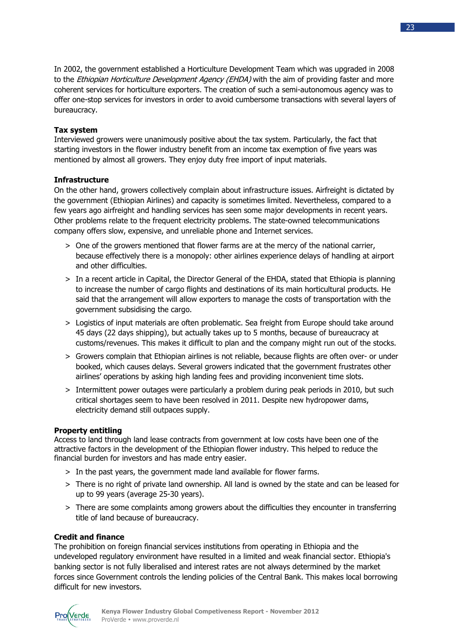In 2002, the government established a Horticulture Development Team which was upgraded in 2008 to the *Ethiopian Horticulture Development Agency (EHDA)* with the aim of providing faster and more coherent services for horticulture exporters. The creation of such a semi-autonomous agency was to offer one-stop services for investors in order to avoid cumbersome transactions with several layers of bureaucracy.

## **Tax system**

Interviewed growers were unanimously positive about the tax system. Particularly, the fact that starting investors in the flower industry benefit from an income tax exemption of five years was mentioned by almost all growers. They enjoy duty free import of input materials.

## **Infrastructure**

On the other hand, growers collectively complain about infrastructure issues. Airfreight is dictated by the government (Ethiopian Airlines) and capacity is sometimes limited. Nevertheless, compared to a few years ago airfreight and handling services has seen some major developments in recent years. Other problems relate to the frequent electricity problems. The state-owned telecommunications company offers slow, expensive, and unreliable phone and Internet services.

- > One of the growers mentioned that flower farms are at the mercy of the national carrier, because effectively there is a monopoly: other airlines experience delays of handling at airport and other difficulties.
- > In a recent article in Capital, the Director General of the EHDA, stated that Ethiopia is planning to increase the number of cargo flights and destinations of its main horticultural products. He said that the arrangement will allow exporters to manage the costs of transportation with the government subsidising the cargo.
- > Logistics of input materials are often problematic. Sea freight from Europe should take around 45 days (22 days shipping), but actually takes up to 5 months, because of bureaucracy at customs/revenues. This makes it difficult to plan and the company might run out of the stocks.
- > Growers complain that Ethiopian airlines is not reliable, because flights are often over- or under booked, which causes delays. Several growers indicated that the government frustrates other airlines' operations by asking high landing fees and providing inconvenient time slots.
- > Intermittent power outages were particularly a problem during peak periods in 2010, but such critical shortages seem to have been resolved in 2011. Despite new hydropower dams, electricity demand still outpaces supply.

## **Property entitling**

Access to land through land lease contracts from government at low costs have been one of the attractive factors in the development of the Ethiopian flower industry. This helped to reduce the financial burden for investors and has made entry easier.

- > In the past years, the government made land available for flower farms.
- > There is no right of private land ownership. All land is owned by the state and can be leased for up to 99 years (average 25-30 years).
- > There are some complaints among growers about the difficulties they encounter in transferring title of land because of bureaucracy.

## **Credit and finance**

The prohibition on foreign financial services institutions from operating in Ethiopia and the undeveloped regulatory environment have resulted in a limited and weak financial sector. Ethiopia's banking sector is not fully liberalised and interest rates are not always determined by the market forces since Government controls the lending policies of the Central Bank. This makes local borrowing difficult for new investors.

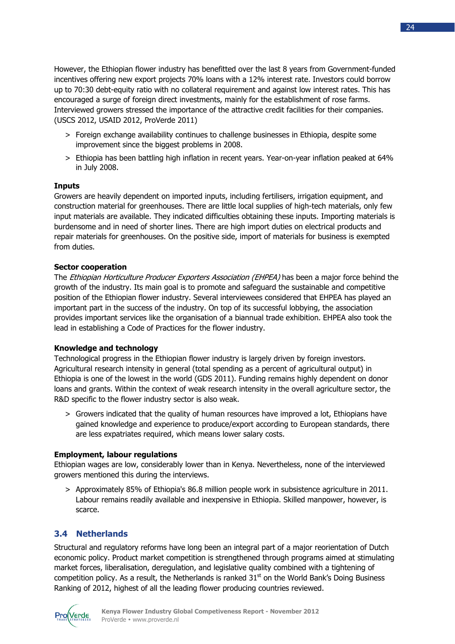However, the Ethiopian flower industry has benefitted over the last 8 years from Government-funded incentives offering new export projects 70% loans with a 12% interest rate. Investors could borrow up to 70:30 debt-equity ratio with no collateral requirement and against low interest rates. This has encouraged a surge of foreign direct investments, mainly for the establishment of rose farms. Interviewed growers stressed the importance of the attractive credit facilities for their companies. (USCS 2012, USAID 2012, ProVerde 2011)

- > Foreign exchange availability continues to challenge businesses in Ethiopia, despite some improvement since the biggest problems in 2008.
- > Ethiopia has been battling high inflation in recent years. Year-on-year inflation peaked at 64% in July 2008.

## **Inputs**

Growers are heavily dependent on imported inputs, including fertilisers, irrigation equipment, and construction material for greenhouses. There are little local supplies of high-tech materials, only few input materials are available. They indicated difficulties obtaining these inputs. Importing materials is burdensome and in need of shorter lines. There are high import duties on electrical products and repair materials for greenhouses. On the positive side, import of materials for business is exempted from duties.

## **Sector cooperation**

The Ethiopian Horticulture Producer Exporters Association (EHPEA) has been a major force behind the growth of the industry. Its main goal is to promote and safeguard the sustainable and competitive position of the Ethiopian flower industry. Several interviewees considered that EHPEA has played an important part in the success of the industry. On top of its successful lobbying, the association provides important services like the organisation of a biannual trade exhibition. EHPEA also took the lead in establishing a Code of Practices for the flower industry.

## **Knowledge and technology**

Technological progress in the Ethiopian flower industry is largely driven by foreign investors. Agricultural research intensity in general (total spending as a percent of agricultural output) in Ethiopia is one of the lowest in the world (GDS 2011). Funding remains highly dependent on donor loans and grants. Within the context of weak research intensity in the overall agriculture sector, the R&D specific to the flower industry sector is also weak.

> Growers indicated that the quality of human resources have improved a lot, Ethiopians have gained knowledge and experience to produce/export according to European standards, there are less expatriates required, which means lower salary costs.

## **Employment, labour regulations**

Ethiopian wages are low, considerably lower than in Kenya. Nevertheless, none of the interviewed growers mentioned this during the interviews.

> Approximately 85% of Ethiopia's 86.8 million people work in subsistence agriculture in 2011. Labour remains readily available and inexpensive in Ethiopia. Skilled manpower, however, is scarce.

## **3.4 Netherlands**

Structural and regulatory reforms have long been an integral part of a major reorientation of Dutch economic policy. Product market competition is strengthened through programs aimed at stimulating market forces, liberalisation, deregulation, and legislative quality combined with a tightening of competition policy. As a result, the Netherlands is ranked  $31<sup>st</sup>$  on the World Bank's Doing Business Ranking of 2012, highest of all the leading flower producing countries reviewed.

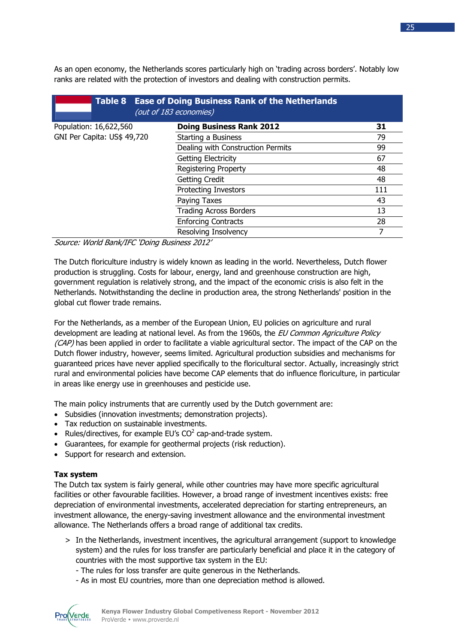As an open economy, the Netherlands scores particularly high on 'trading across borders'. Notably low ranks are related with the protection of investors and dealing with construction permits.

|                             | Table 8 Ease of Doing Business Rank of the Netherlands<br>(out of 183 economies) |     |
|-----------------------------|----------------------------------------------------------------------------------|-----|
| Population: 16,622,560      | <b>Doing Business Rank 2012</b>                                                  | 31  |
| GNI Per Capita: US\$ 49,720 | Starting a Business                                                              | 79  |
|                             | Dealing with Construction Permits                                                | 99  |
|                             | <b>Getting Electricity</b>                                                       | 67  |
|                             | <b>Registering Property</b>                                                      | 48  |
|                             | <b>Getting Credit</b>                                                            | 48  |
|                             | <b>Protecting Investors</b>                                                      | 111 |
|                             | Paying Taxes                                                                     | 43  |
|                             | <b>Trading Across Borders</b>                                                    | 13  |
|                             | <b>Enforcing Contracts</b>                                                       | 28  |
|                             | Resolving Insolvency                                                             | 7   |

Source: World Bank/IFC 'Doing Business 2012'

The Dutch floriculture industry is widely known as leading in the world. Nevertheless, Dutch flower production is struggling. Costs for labour, energy, land and greenhouse construction are high, government regulation is relatively strong, and the impact of the economic crisis is also felt in the Netherlands. Notwithstanding the decline in production area, the strong Netherlands' position in the global cut flower trade remains.

For the Netherlands, as a member of the European Union, EU policies on agriculture and rural development are leading at national level. As from the 1960s, the EU Common Agriculture Policy (CAP) has been applied in order to facilitate a viable agricultural sector. The impact of the CAP on the Dutch flower industry, however, seems limited. Agricultural production subsidies and mechanisms for guaranteed prices have never applied specifically to the floricultural sector. Actually, increasingly strict rural and environmental policies have become CAP elements that do influence floriculture, in particular in areas like energy use in greenhouses and pesticide use.

The main policy instruments that are currently used by the Dutch government are:

- Subsidies (innovation investments; demonstration projects).
- Tax reduction on sustainable investments.
- Rules/directives, for example EU's  $CO<sup>2</sup>$  cap-and-trade system.
- Guarantees, for example for geothermal projects (risk reduction).
- Support for research and extension.

## **Tax system**

The Dutch tax system is fairly general, while other countries may have more specific agricultural facilities or other favourable facilities. However, a broad range of investment incentives exists: free depreciation of environmental investments, accelerated depreciation for starting entrepreneurs, an investment allowance, the energy-saving investment allowance and the environmental investment allowance. The Netherlands offers a broad range of additional tax credits.

- > In the Netherlands, investment incentives, the agricultural arrangement (support to knowledge system) and the rules for loss transfer are particularly beneficial and place it in the category of countries with the most supportive tax system in the EU:
	- The rules for loss transfer are quite generous in the Netherlands.
	- As in most EU countries, more than one depreciation method is allowed.

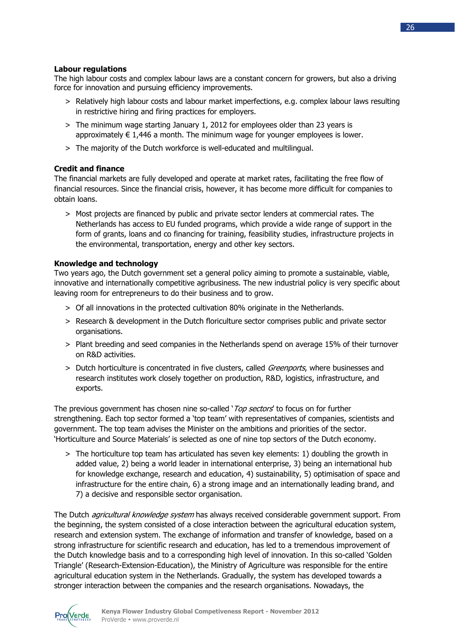## **Labour regulations**

The high labour costs and complex labour laws are a constant concern for growers, but also a driving force for innovation and pursuing efficiency improvements.

- > Relatively high labour costs and labour market imperfections, e.g. complex labour laws resulting in restrictive hiring and firing practices for employers.
- > The minimum wage starting January 1, 2012 for employees older than 23 years is approximately  $\epsilon$  1,446 a month. The minimum wage for younger employees is lower.
- > The majority of the Dutch workforce is well-educated and multilingual.

## **Credit and finance**

The financial markets are fully developed and operate at market rates, facilitating the free flow of financial resources. Since the financial crisis, however, it has become more difficult for companies to obtain loans.

> Most projects are financed by public and private sector lenders at commercial rates. The Netherlands has access to EU funded programs, which provide a wide range of support in the form of grants, loans and co financing for training, feasibility studies, infrastructure projects in the environmental, transportation, energy and other key sectors.

## **Knowledge and technology**

Two years ago, the Dutch government set a general policy aiming to promote a sustainable, viable, innovative and internationally competitive agribusiness. The new industrial policy is very specific about leaving room for entrepreneurs to do their business and to grow.

- > Of all innovations in the protected cultivation 80% originate in the Netherlands.
- > Research & development in the Dutch floriculture sector comprises public and private sector organisations.
- > Plant breeding and seed companies in the Netherlands spend on average 15% of their turnover on R&D activities.
- > Dutch horticulture is concentrated in five clusters, called *Greenports*, where businesses and research institutes work closely together on production, R&D, logistics, infrastructure, and exports.

The previous government has chosen nine so-called '*Top sectors'* to focus on for further strengthening. Each top sector formed a 'top team' with representatives of companies, scientists and government. The top team advises the Minister on the ambitions and priorities of the sector. 'Horticulture and Source Materials' is selected as one of nine top sectors of the Dutch economy.

> The horticulture top team has articulated has seven key elements: 1) doubling the growth in added value, 2) being a world leader in international enterprise, 3) being an international hub for knowledge exchange, research and education, 4) sustainability, 5) optimisation of space and infrastructure for the entire chain, 6) a strong image and an internationally leading brand, and 7) a decisive and responsible sector organisation.

The Dutch *agricultural knowledge system* has always received considerable government support. From the beginning, the system consisted of a close interaction between the agricultural education system, research and extension system. The exchange of information and transfer of knowledge, based on a strong infrastructure for scientific research and education, has led to a tremendous improvement of the Dutch knowledge basis and to a corresponding high level of innovation. In this so-called 'Golden Triangle' (Research-Extension-Education), the Ministry of Agriculture was responsible for the entire agricultural education system in the Netherlands. Gradually, the system has developed towards a stronger interaction between the companies and the research organisations. Nowadays, the

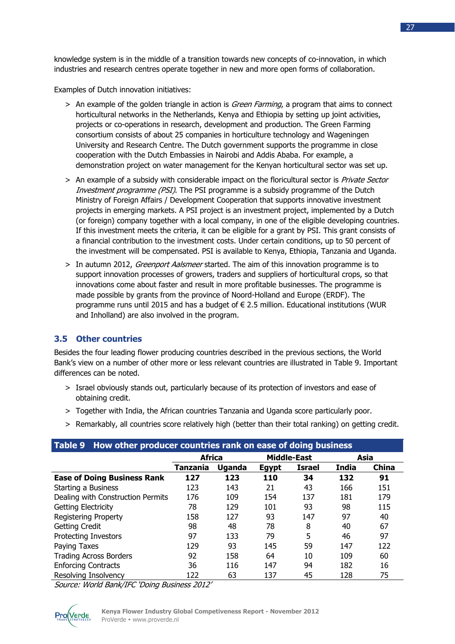knowledge system is in the middle of a transition towards new concepts of co-innovation, in which industries and research centres operate together in new and more open forms of collaboration.

Examples of Dutch innovation initiatives:

- > An example of the golden triangle in action is *Green Farming*, a program that aims to connect horticultural networks in the Netherlands, Kenya and Ethiopia by setting up joint activities, projects or co-operations in research, development and production. The Green Farming consortium consists of about 25 companies in horticulture technology and Wageningen University and Research Centre. The Dutch government supports the programme in close cooperation with the Dutch Embassies in Nairobi and Addis Ababa. For example, a demonstration project on water management for the Kenyan horticultural sector was set up.
- > An example of a subsidy with considerable impact on the floricultural sector is *Private Sector* Investment programme (PSI). The PSI programme is a subsidy programme of the Dutch Ministry of Foreign Affairs / Development Cooperation that supports innovative investment projects in emerging markets. A PSI project is an investment project, implemented by a Dutch (or foreign) company together with a local company, in one of the eligible developing countries. If this investment meets the criteria, it can be eligible for a grant by PSI. This grant consists of a financial contribution to the investment costs. Under certain conditions, up to 50 percent of the investment will be compensated. PSI is available to Kenya, Ethiopia, Tanzania and Uganda.
- > In autumn 2012, *Greenport Aalsmeer* started. The aim of this innovation programme is to support innovation processes of growers, traders and suppliers of horticultural crops, so that innovations come about faster and result in more profitable businesses. The programme is made possible by grants from the province of Noord-Holland and Europe (ERDF). The programme runs until 2015 and has a budget of € 2.5 million. Educational institutions (WUR and Inholland) are also involved in the program.

## **3.5 Other countries**

Besides the four leading flower producing countries described in the previous sections, the World Bank's view on a number of other more or less relevant countries are illustrated in Table 9. Important differences can be noted.

- > Israel obviously stands out, particularly because of its protection of investors and ease of obtaining credit.
- > Together with India, the African countries Tanzania and Uganda score particularly poor.
- > Remarkably, all countries score relatively high (better than their total ranking) on getting credit.

| How other producer countries rank on ease of doing business<br>Table 9 |               |        |              |                    |              |              |  |
|------------------------------------------------------------------------|---------------|--------|--------------|--------------------|--------------|--------------|--|
|                                                                        | <b>Africa</b> |        |              | <b>Middle-East</b> | Asia         |              |  |
|                                                                        | Tanzania      | Uganda | <b>Egypt</b> | Israel             | <b>India</b> | <b>China</b> |  |
| <b>Ease of Doing Business Rank</b>                                     | 127           | 123    | 110          | 34                 | 132          | 91           |  |
| Starting a Business                                                    | 123           | 143    | 21           | 43                 | 166          | 151          |  |
| Dealing with Construction Permits                                      | 176           | 109    | 154          | 137                | 181          | 179          |  |
| Getting Electricity                                                    | 78            | 129    | 101          | 93                 | 98           | 115          |  |
| <b>Registering Property</b>                                            | 158           | 127    | 93           | 147                | 97           | 40           |  |
| <b>Getting Credit</b>                                                  | 98            | 48     | 78           | 8                  | 40           | 67           |  |
| <b>Protecting Investors</b>                                            | 97            | 133    | 79           | 5                  | 46           | 97           |  |
| Paying Taxes                                                           | 129           | 93     | 145          | 59                 | 147          | 122          |  |
| <b>Trading Across Borders</b>                                          | 92            | 158    | 64           | 10                 | 109          | 60           |  |
| <b>Enforcing Contracts</b>                                             | 36            | 116    | 147          | 94                 | 182          | 16           |  |
| Resolving Insolvency<br>45<br>63<br>137<br>128<br>122                  |               |        |              | 75                 |              |              |  |

Source: World Bank/IFC 'Doing Business 2012'

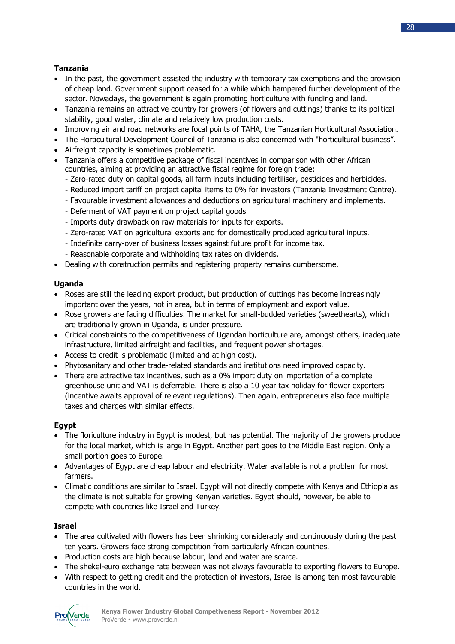## **Tanzania**

- In the past, the government assisted the industry with temporary tax exemptions and the provision of cheap land. Government support ceased for a while which hampered further development of the sector. Nowadays, the government is again promoting horticulture with funding and land.
- Tanzania remains an attractive country for growers (of flowers and cuttings) thanks to its political stability, good water, climate and relatively low production costs.
- Improving air and road networks are focal points of TAHA, the Tanzanian Horticultural Association.
- The Horticultural Development Council of Tanzania is also concerned with "horticultural business".
- Airfreight capacity is sometimes problematic.
- Tanzania offers a competitive package of fiscal incentives in comparison with other African countries, aiming at providing an attractive fiscal regime for foreign trade:
	- Zero-rated duty on capital goods, all farm inputs including fertiliser, pesticides and herbicides.
	- Reduced import tariff on project capital items to 0% for investors (Tanzania Investment Centre).
	- Favourable investment allowances and deductions on agricultural machinery and implements.
	- Deferment of VAT payment on project capital goods
	- Imports duty drawback on raw materials for inputs for exports.
	- Zero-rated VAT on agricultural exports and for domestically produced agricultural inputs.
	- Indefinite carry-over of business losses against future profit for income tax.
	- Reasonable corporate and withholding tax rates on dividends.
- Dealing with construction permits and registering property remains cumbersome.

## **Uganda**

- Roses are still the leading export product, but production of cuttings has become increasingly important over the years, not in area, but in terms of employment and export value.
- Rose growers are facing difficulties. The market for small-budded varieties (sweethearts), which are traditionally grown in Uganda, is under pressure.
- Critical constraints to the competitiveness of Ugandan horticulture are, amongst others, inadequate infrastructure, limited airfreight and facilities, and frequent power shortages.
- Access to credit is problematic (limited and at high cost).
- Phytosanitary and other trade-related standards and institutions need improved capacity.
- There are attractive tax incentives, such as a 0% import duty on importation of a complete greenhouse unit and VAT is deferrable. There is also a 10 year tax holiday for flower exporters (incentive awaits approval of relevant regulations). Then again, entrepreneurs also face multiple taxes and charges with similar effects.

## **Egypt**

- The floriculture industry in Egypt is modest, but has potential. The majority of the growers produce for the local market, which is large in Egypt. Another part goes to the Middle East region. Only a small portion goes to Europe.
- Advantages of Egypt are cheap labour and electricity. Water available is not a problem for most farmers.
- Climatic conditions are similar to Israel. Egypt will not directly compete with Kenya and Ethiopia as the climate is not suitable for growing Kenyan varieties. Egypt should, however, be able to compete with countries like Israel and Turkey.

## **Israel**

- The area cultivated with flowers has been shrinking considerably and continuously during the past ten years. Growers face strong competition from particularly African countries.
- Production costs are high because labour, land and water are scarce.
- The shekel-euro exchange rate between was not always favourable to exporting flowers to Europe.
- With respect to getting credit and the protection of investors, Israel is among ten most favourable countries in the world.

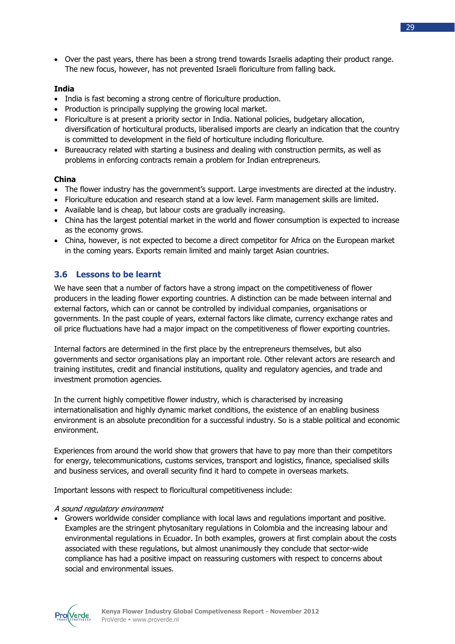Over the past years, there has been a strong trend towards Israelis adapting their product range. The new focus, however, has not prevented Israeli floriculture from falling back.

## **India**

- India is fast becoming a strong centre of floriculture production.
- Production is principally supplying the growing local market.
- Floriculture is at present a priority sector in India. National policies, budgetary allocation, diversification of horticultural products, liberalised imports are clearly an indication that the country is committed to development in the field of horticulture including floriculture.
- Bureaucracy related with starting a business and dealing with construction permits, as well as problems in enforcing contracts remain a problem for Indian entrepreneurs.

## **China**

- The flower industry has the government's support. Large investments are directed at the industry.
- Floriculture education and research stand at a low level. Farm management skills are limited.
- Available land is cheap, but labour costs are gradually increasing.
- China has the largest potential market in the world and flower consumption is expected to increase as the economy grows.
- China, however, is not expected to become a direct competitor for Africa on the European market in the coming years. Exports remain limited and mainly target Asian countries.

## **3.6 Lessons to be learnt**

We have seen that a number of factors have a strong impact on the competitiveness of flower producers in the leading flower exporting countries. A distinction can be made between internal and external factors, which can or cannot be controlled by individual companies, organisations or governments. In the past couple of years, external factors like climate, currency exchange rates and oil price fluctuations have had a major impact on the competitiveness of flower exporting countries.

Internal factors are determined in the first place by the entrepreneurs themselves, but also governments and sector organisations play an important role. Other relevant actors are research and training institutes, credit and financial institutions, quality and regulatory agencies, and trade and investment promotion agencies.

In the current highly competitive flower industry, which is characterised by increasing internationalisation and highly dynamic market conditions, the existence of an enabling business environment is an absolute precondition for a successful industry. So is a stable political and economic environment.

Experiences from around the world show that growers that have to pay more than their competitors for energy, telecommunications, customs services, transport and logistics, finance, specialised skills and business services, and overall security find it hard to compete in overseas markets.

Important lessons with respect to floricultural competitiveness include:

## A sound regulatory environment

 Growers worldwide consider compliance with local laws and regulations important and positive. Examples are the stringent phytosanitary regulations in Colombia and the increasing labour and environmental regulations in Ecuador. In both examples, growers at first complain about the costs associated with these regulations, but almost unanimously they conclude that sector-wide compliance has had a positive impact on reassuring customers with respect to concerns about social and environmental issues.

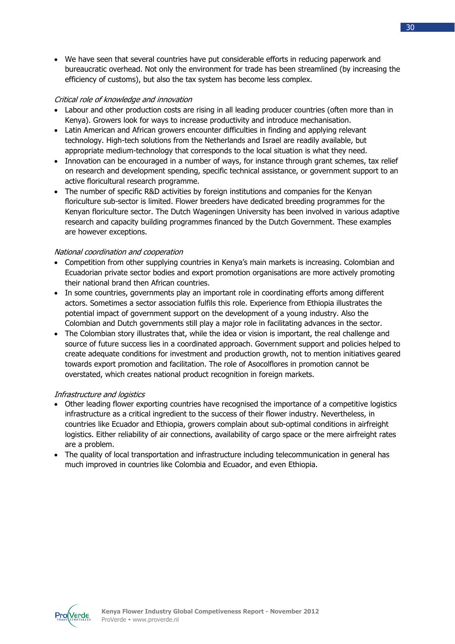We have seen that several countries have put considerable efforts in reducing paperwork and bureaucratic overhead. Not only the environment for trade has been streamlined (by increasing the efficiency of customs), but also the tax system has become less complex.

## Critical role of knowledge and innovation

- Labour and other production costs are rising in all leading producer countries (often more than in Kenya). Growers look for ways to increase productivity and introduce mechanisation.
- Latin American and African growers encounter difficulties in finding and applying relevant technology. High-tech solutions from the Netherlands and Israel are readily available, but appropriate medium-technology that corresponds to the local situation is what they need.
- Innovation can be encouraged in a number of ways, for instance through grant schemes, tax relief on research and development spending, specific technical assistance, or government support to an active floricultural research programme.
- The number of specific R&D activities by foreign institutions and companies for the Kenyan floriculture sub-sector is limited. Flower breeders have dedicated breeding programmes for the Kenyan floriculture sector. The Dutch Wageningen University has been involved in various adaptive research and capacity building programmes financed by the Dutch Government. These examples are however exceptions.

## National coordination and cooperation

- Competition from other supplying countries in Kenya's main markets is increasing. Colombian and Ecuadorian private sector bodies and export promotion organisations are more actively promoting their national brand then African countries.
- In some countries, governments play an important role in coordinating efforts among different actors. Sometimes a sector association fulfils this role. Experience from Ethiopia illustrates the potential impact of government support on the development of a young industry. Also the Colombian and Dutch governments still play a major role in facilitating advances in the sector.
- The Colombian story illustrates that, while the idea or vision is important, the real challenge and source of future success lies in a coordinated approach. Government support and policies helped to create adequate conditions for investment and production growth, not to mention initiatives geared towards export promotion and facilitation. The role of Asocolflores in promotion cannot be overstated, which creates national product recognition in foreign markets.

## Infrastructure and logistics

- Other leading flower exporting countries have recognised the importance of a competitive logistics infrastructure as a critical ingredient to the success of their flower industry. Nevertheless, in countries like Ecuador and Ethiopia, growers complain about sub-optimal conditions in airfreight logistics. Either reliability of air connections, availability of cargo space or the mere airfreight rates are a problem.
- The quality of local transportation and infrastructure including telecommunication in general has much improved in countries like Colombia and Ecuador, and even Ethiopia.

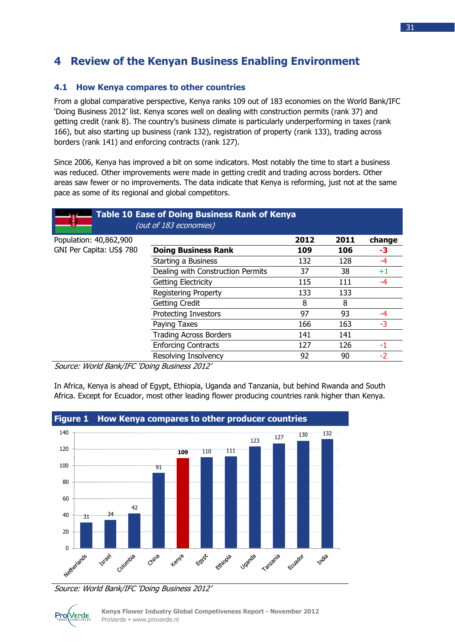## **4 Review of the Kenyan Business Enabling Environment**

## **4.1 How Kenya compares to other countries**

From a global comparative perspective, Kenya ranks 109 out of 183 economies on the World Bank/IFC 'Doing Business 2012' list. Kenya scores well on dealing with construction permits (rank 37) and getting credit (rank 8). The country's business climate is particularly underperforming in taxes (rank 166), but also starting up business (rank 132), registration of property (rank 133), trading across borders (rank 141) and enforcing contracts (rank 127).

Since 2006, Kenya has improved a bit on some indicators. Most notably the time to start a business was reduced. Other improvements were made in getting credit and trading across borders. Other areas saw fewer or no improvements. The data indicate that Kenya is reforming, just not at the same pace as some of its regional and global competitors.

|                          | <b>Table 10 Ease of Doing Business Rank of Kenya</b><br>(out of 183 economies) |      |      |                 |
|--------------------------|--------------------------------------------------------------------------------|------|------|-----------------|
| Population: 40,862,900   |                                                                                | 2012 | 2011 | change          |
| GNI Per Capita: US\$ 780 | <b>Doing Business Rank</b>                                                     | 109  | 106  | -3              |
|                          | Starting a Business                                                            | 132  | 128  | $-4$            |
|                          | Dealing with Construction Permits                                              | 37   | 38   | $^{\mathrm +1}$ |
|                          | <b>Getting Electricity</b>                                                     | 115  | 111  | -4              |
|                          | <b>Registering Property</b>                                                    | 133  | 133  |                 |
|                          | <b>Getting Credit</b>                                                          | 8    | 8    |                 |
|                          | <b>Protecting Investors</b>                                                    | 97   | 93   | -4              |
|                          | Paying Taxes                                                                   | 166  | 163  | -3              |
|                          | <b>Trading Across Borders</b>                                                  | 141  | 141  |                 |
|                          | <b>Enforcing Contracts</b>                                                     | 127  | 126  | -1              |
|                          | Resolving Insolvency                                                           | 92   | 90   | $-2$            |

Source: World Bank/IFC 'Doing Business 2012'

In Africa, Kenya is ahead of Egypt, Ethiopia, Uganda and Tanzania, but behind Rwanda and South Africa. Except for Ecuador, most other leading flower producing countries rank higher than Kenya.



Source: World Bank/IFC 'Doing Business 2012'

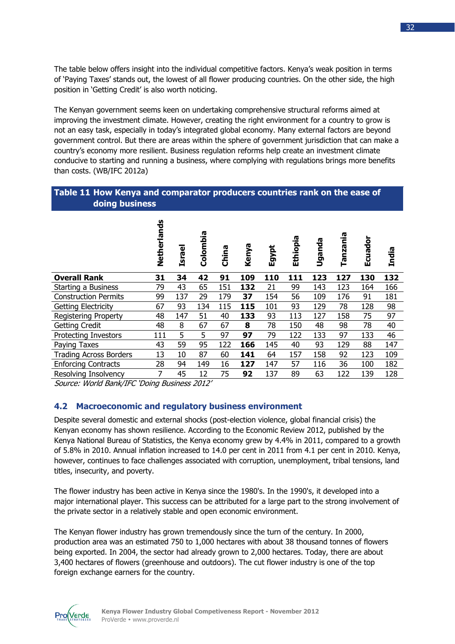The table below offers insight into the individual competitive factors. Kenya's weak position in terms of 'Paying Taxes' stands out, the lowest of all flower producing countries. On the other side, the high position in 'Getting Credit' is also worth noticing.

The Kenyan government seems keen on undertaking comprehensive structural reforms aimed at improving the investment climate. However, creating the right environment for a country to grow is not an easy task, especially in today's integrated global economy. Many external factors are beyond government control. But there are areas within the sphere of government jurisdiction that can make a country's economy more resilient. Business regulation reforms help create an investment climate conducive to starting and running a business, where complying with regulations brings more benefits than costs. (WB/IFC 2012a)

## **Table 11 How Kenya and comparator producers countries rank on the ease of doing business**

|                               | Netherlands | <b>Israel</b> | Colombia | China | Kenya | Egypt | Ethiopia | Uganda | Tanzania | ►<br>Ecuado | <b>India</b> |
|-------------------------------|-------------|---------------|----------|-------|-------|-------|----------|--------|----------|-------------|--------------|
| <b>Overall Rank</b>           | 31          | 34            | 42       | 91    | 109   | 110   | 111      | 123    | 127      | 130         | 132          |
| Starting a Business           | 79          | 43            | 65       | 151   | 132   | 21    | 99       | 143    | 123      | 164         | 166          |
| <b>Construction Permits</b>   | 99          | 137           | 29       | 179   | 37    | 154   | 56       | 109    | 176      | 91          | 181          |
| <b>Getting Electricity</b>    | 67          | 93            | 134      | 115   | 115   | 101   | 93       | 129    | 78       | 128         | 98           |
| <b>Registering Property</b>   | 48          | 147           | 51       | 40    | 133   | 93    | 113      | 127    | 158      | 75          | 97           |
| <b>Getting Credit</b>         | 48          | 8             | 67       | 67    | 8     | 78    | 150      | 48     | 98       | 78          | 40           |
| Protecting Investors          | 111         | 5             | 5        | 97    | 97    | 79    | 122      | 133    | 97       | 133         | 46           |
| Paying Taxes                  | 43          | 59            | 95       | 122   | 166   | 145   | 40       | 93     | 129      | 88          | 147          |
| <b>Trading Across Borders</b> | 13          | 10            | 87       | 60    | 141   | 64    | 157      | 158    | 92       | 123         | 109          |
| <b>Enforcing Contracts</b>    | 28          | 94            | 149      | 16    | 127   | 147   | 57       | 116    | 36       | 100         | 182          |
| Resolving Insolvency          | 7           | 45            | 12       | 75    | 92    | 137   | 89       | 63     | 122      | 139         | 128          |

Source: World Bank/IFC 'Doing Business 2012'

## **4.2 Macroeconomic and regulatory business environment**

Despite several domestic and external shocks (post-election violence, global financial crisis) the Kenyan economy has shown resilience. According to the Economic Review 2012, published by the Kenya National Bureau of Statistics, the Kenya economy grew by 4.4% in 2011, compared to a growth of 5.8% in 2010. Annual inflation increased to 14.0 per cent in 2011 from 4.1 per cent in 2010. Kenya, however, continues to face challenges associated with corruption, unemployment, tribal tensions, land titles, insecurity, and poverty.

The flower industry has been active in Kenya since the 1980's. In the 1990's, it developed into a major international player. This success can be attributed for a large part to the strong involvement of the private sector in a relatively stable and open economic environment.

The Kenyan flower industry has grown tremendously since the turn of the century. In 2000, production area was an estimated 750 to 1,000 hectares with about 38 thousand tonnes of flowers being exported. In 2004, the sector had already grown to 2,000 hectares. Today, there are about 3,400 hectares of flowers (greenhouse and outdoors). The cut flower industry is one of the top foreign exchange earners for the country.

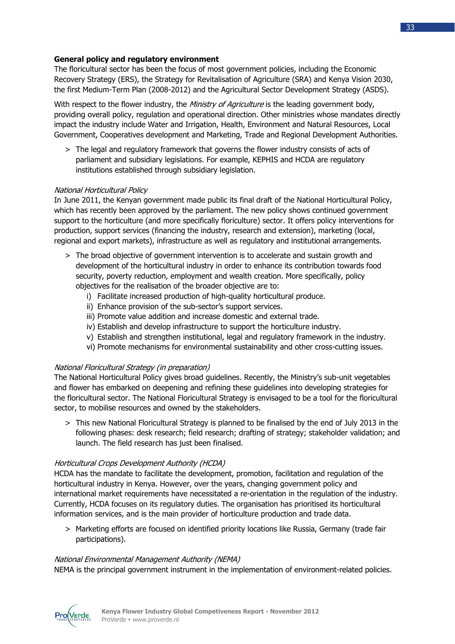## **General policy and regulatory environment**

The floricultural sector has been the focus of most government policies, including the Economic Recovery Strategy (ERS), the Strategy for Revitalisation of Agriculture (SRA) and Kenya Vision 2030, the first Medium-Term Plan (2008-2012) and the Agricultural Sector Development Strategy (ASDS).

With respect to the flower industry, the *Ministry of Agriculture* is the leading government body, providing overall policy, regulation and operational direction. Other ministries whose mandates directly impact the industry include Water and Irrigation, Health, Environment and Natural Resources, Local Government, Cooperatives development and Marketing, Trade and Regional Development Authorities.

> The legal and regulatory framework that governs the flower industry consists of acts of parliament and subsidiary legislations. For example, KEPHIS and HCDA are regulatory institutions established through subsidiary legislation.

## National Horticultural Policy

In June 2011, the Kenyan government made public its final draft of the National Horticultural Policy, which has recently been approved by the parliament. The new policy shows continued government support to the horticulture (and more specifically floriculture) sector. It offers policy interventions for production, support services (financing the industry, research and extension), marketing (local, regional and export markets), infrastructure as well as regulatory and institutional arrangements.

- > The broad objective of government intervention is to accelerate and sustain growth and development of the horticultural industry in order to enhance its contribution towards food security, poverty reduction, employment and wealth creation. More specifically, policy objectives for the realisation of the broader objective are to:
	- i) Facilitate increased production of high-quality horticultural produce.
	- ii) Enhance provision of the sub-sector's support services.
	- iii) Promote value addition and increase domestic and external trade.
	- iv) Establish and develop infrastructure to support the horticulture industry.
	- v) Establish and strengthen institutional, legal and regulatory framework in the industry.
	- vi) Promote mechanisms for environmental sustainability and other cross-cutting issues.

## National Floricultural Strategy (in preparation)

The National Horticultural Policy gives broad guidelines. Recently, the Ministry's sub-unit vegetables and flower has embarked on deepening and refining these guidelines into developing strategies for the floricultural sector. The National Floricultural Strategy is envisaged to be a tool for the floricultural sector, to mobilise resources and owned by the stakeholders.

> This new National Floricultural Strategy is planned to be finalised by the end of July 2013 in the following phases: desk research; field research; drafting of strategy; stakeholder validation; and launch. The field research has just been finalised.

## Horticultural Crops Development Authority (HCDA)

HCDA has the mandate to facilitate the development, promotion, facilitation and regulation of the horticultural industry in Kenya. However, over the years, changing government policy and international market requirements have necessitated a re-orientation in the regulation of the industry. Currently, HCDA focuses on its regulatory duties. The organisation has prioritised its horticultural information services, and is the main provider of horticulture production and trade data.

> Marketing efforts are focused on identified priority locations like Russia, Germany (trade fair participations).

## National Environmental Management Authority (NEMA)

NEMA is the principal government instrument in the implementation of environment-related policies.

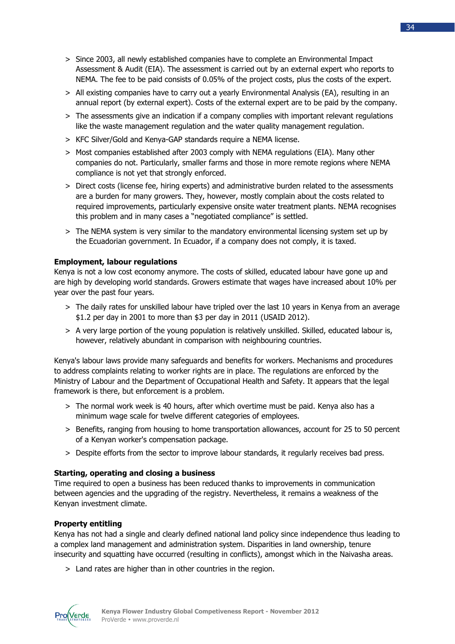- > Since 2003, all newly established companies have to complete an Environmental Impact Assessment & Audit (EIA). The assessment is carried out by an external expert who reports to NEMA. The fee to be paid consists of 0.05% of the project costs, plus the costs of the expert.
- > All existing companies have to carry out a yearly Environmental Analysis (EA), resulting in an annual report (by external expert). Costs of the external expert are to be paid by the company.
- > The assessments give an indication if a company complies with important relevant regulations like the waste management regulation and the water quality management regulation.
- > KFC Silver/Gold and Kenya-GAP standards require a NEMA license.
- > Most companies established after 2003 comply with NEMA regulations (EIA). Many other companies do not. Particularly, smaller farms and those in more remote regions where NEMA compliance is not yet that strongly enforced.
- > Direct costs (license fee, hiring experts) and administrative burden related to the assessments are a burden for many growers. They, however, mostly complain about the costs related to required improvements, particularly expensive onsite water treatment plants. NEMA recognises this problem and in many cases a "negotiated compliance" is settled.
- > The NEMA system is very similar to the mandatory environmental licensing system set up by the Ecuadorian government. In Ecuador, if a company does not comply, it is taxed.

## **Employment, labour regulations**

Kenya is not a low cost economy anymore. The costs of skilled, educated labour have gone up and are high by developing world standards. Growers estimate that wages have increased about 10% per year over the past four years.

- > The daily rates for unskilled labour have tripled over the last 10 years in Kenya from an average \$1.2 per day in 2001 to more than \$3 per day in 2011 (USAID 2012).
- > A very large portion of the young population is relatively unskilled. Skilled, educated labour is, however, relatively abundant in comparison with neighbouring countries.

Kenya's labour laws provide many safeguards and benefits for workers. Mechanisms and procedures to address complaints relating to worker rights are in place. The regulations are enforced by the Ministry of Labour and the Department of Occupational Health and Safety. It appears that the legal framework is there, but enforcement is a problem.

- > The normal work week is 40 hours, after which overtime must be paid. Kenya also has a minimum wage scale for twelve different categories of employees.
- > Benefits, ranging from housing to home transportation allowances, account for 25 to 50 percent of a Kenyan worker's compensation package.
- > Despite efforts from the sector to improve labour standards, it regularly receives bad press.

## **Starting, operating and closing a business**

Time required to open a business has been reduced thanks to improvements in communication between agencies and the upgrading of the registry. Nevertheless, it remains a weakness of the Kenyan investment climate.

## **Property entitling**

Kenya has not had a single and clearly defined national land policy since independence thus leading to a complex land management and administration system. Disparities in land ownership, tenure insecurity and squatting have occurred (resulting in conflicts), amongst which in the Naivasha areas.

> Land rates are higher than in other countries in the region.

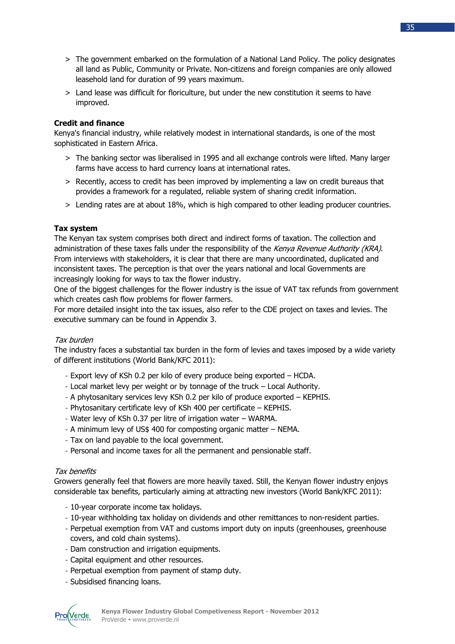- > The government embarked on the formulation of a National Land Policy. The policy designates all land as Public, Community or Private. Non-citizens and foreign companies are only allowed leasehold land for duration of 99 years maximum.
- > Land lease was difficult for floriculture, but under the new constitution it seems to have improved.

## **Credit and finance**

Kenya's financial industry, while relatively modest in international standards, is one of the most sophisticated in Eastern Africa.

- > The banking sector was liberalised in 1995 and all exchange controls were lifted. Many larger farms have access to hard currency loans at international rates.
- > Recently, access to credit has been improved by implementing a law on credit bureaus that provides a framework for a regulated, reliable system of sharing credit information.
- > Lending rates are at about 18%, which is high compared to other leading producer countries.

## **Tax system**

The Kenyan tax system comprises both direct and indirect forms of taxation. The collection and administration of these taxes falls under the responsibility of the Kenya Revenue Authority (KRA). From interviews with stakeholders, it is clear that there are many uncoordinated, duplicated and inconsistent taxes. The perception is that over the years national and local Governments are increasingly looking for ways to tax the flower industry.

One of the biggest challenges for the flower industry is the issue of VAT tax refunds from government which creates cash flow problems for flower farmers.

For more detailed insight into the tax issues, also refer to the CDE project on taxes and levies. The executive summary can be found in Appendix 3.

## Tax burden

The industry faces a substantial tax burden in the form of levies and taxes imposed by a wide variety of different institutions (World Bank/KFC 2011):

- Export levy of KSh 0.2 per kilo of every produce being exported HCDA.
- Local market levy per weight or by tonnage of the truck Local Authority.
- A phytosanitary services levy KSh 0.2 per kilo of produce exported KEPHIS.
- Phytosanitary certificate levy of KSh 400 per certificate KEPHIS.
- Water levy of KSh 0.37 per litre of irrigation water WARMA.
- A minimum levy of US\$ 400 for composting organic matter NEMA.
- Tax on land payable to the local government.
- Personal and income taxes for all the permanent and pensionable staff.

## Tax benefits

Growers generally feel that flowers are more heavily taxed. Still, the Kenyan flower industry enjoys considerable tax benefits, particularly aiming at attracting new investors (World Bank/KFC 2011):

- 10-year corporate income tax holidays.
- 10-year withholding tax holiday on dividends and other remittances to non-resident parties.
- Perpetual exemption from VAT and customs import duty on inputs (greenhouses, greenhouse covers, and cold chain systems).
- Dam construction and irrigation equipments.
- Capital equipment and other resources.
- Perpetual exemption from payment of stamp duty.
- Subsidised financing loans.

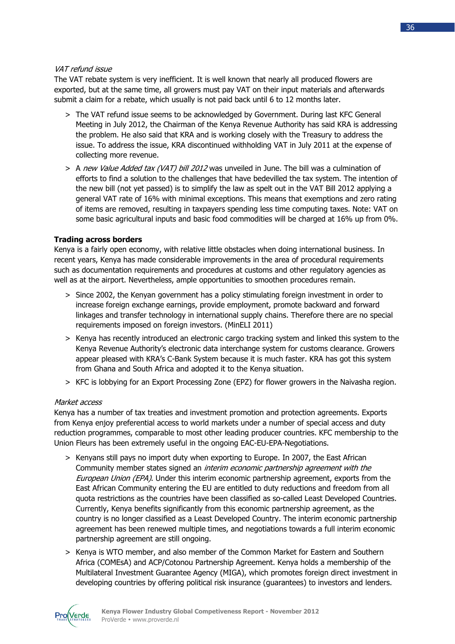## VAT refund issue

The VAT rebate system is very inefficient. It is well known that nearly all produced flowers are exported, but at the same time, all growers must pay VAT on their input materials and afterwards submit a claim for a rebate, which usually is not paid back until 6 to 12 months later.

- > The VAT refund issue seems to be acknowledged by Government. During last KFC General Meeting in July 2012, the Chairman of the Kenya Revenue Authority has said KRA is addressing the problem. He also said that KRA and is working closely with the Treasury to address the issue. To address the issue, KRA discontinued withholding VAT in July 2011 at the expense of collecting more revenue.
- > A new Value Added tax (VAT) bill 2012 was unveiled in June. The bill was a culmination of efforts to find a solution to the challenges that have bedevilled the tax system. The intention of the new bill (not yet passed) is to simplify the law as spelt out in the VAT Bill 2012 applying a general VAT rate of 16% with minimal exceptions. This means that exemptions and zero rating of items are removed, resulting in taxpayers spending less time computing taxes. Note: VAT on some basic agricultural inputs and basic food commodities will be charged at 16% up from 0%.

## **Trading across borders**

Kenya is a fairly open economy, with relative little obstacles when doing international business. In recent years, Kenya has made considerable improvements in the area of procedural requirements such as documentation requirements and procedures at customs and other regulatory agencies as well as at the airport. Nevertheless, ample opportunities to smoothen procedures remain.

- > Since 2002, the Kenyan government has a policy stimulating foreign investment in order to increase foreign exchange earnings, provide employment, promote backward and forward linkages and transfer technology in international supply chains. Therefore there are no special requirements imposed on foreign investors. (MinELI 2011)
- > Kenya has recently introduced an electronic cargo tracking system and linked this system to the Kenya Revenue Authority's electronic data interchange system for customs clearance. Growers appear pleased with KRA's C-Bank System because it is much faster. KRA has got this system from Ghana and South Africa and adopted it to the Kenya situation.
- > KFC is lobbying for an Export Processing Zone (EPZ) for flower growers in the Naivasha region.

## Market access

Kenya has a number of tax treaties and investment promotion and protection agreements. Exports from Kenya enjoy preferential access to world markets under a number of special access and duty reduction programmes, comparable to most other leading producer countries. KFC membership to the Union Fleurs has been extremely useful in the ongoing EAC-EU-EPA-Negotiations.

- > Kenyans still pays no import duty when exporting to Europe. In 2007, the East African Community member states signed an *interim economic partnership agreement with the* European Union (EPA). Under this interim economic partnership agreement, exports from the East African Community entering the EU are entitled to duty reductions and freedom from all quota restrictions as the countries have been classified as so-called Least Developed Countries. Currently, Kenya benefits significantly from this economic partnership agreement, as the country is no longer classified as a Least Developed Country. The interim economic partnership agreement has been renewed multiple times, and negotiations towards a full interim economic partnership agreement are still ongoing.
- > Kenya is WTO member, and also member of the Common Market for Eastern and Southern Africa (COMEsA) and ACP/Cotonou Partnership Agreement. Kenya holds a membership of the Multilateral Investment Guarantee Agency (MIGA), which promotes foreign direct investment in developing countries by offering political risk insurance (guarantees) to investors and lenders.

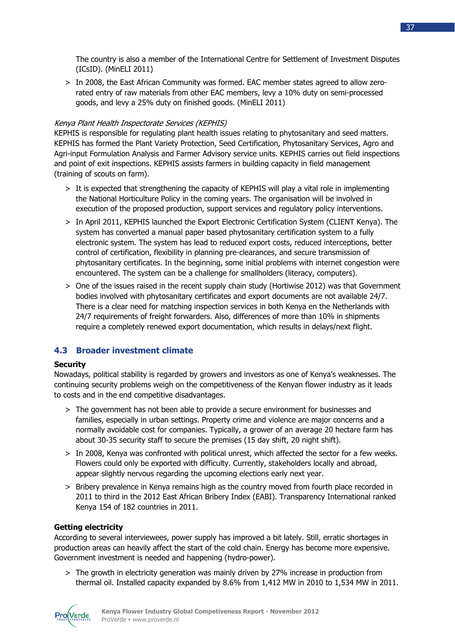The country is also a member of the International Centre for Settlement of Investment Disputes (ICsID). (MinELI 2011)

> In 2008, the East African Community was formed. EAC member states agreed to allow zerorated entry of raw materials from other EAC members, levy a 10% duty on semi-processed goods, and levy a 25% duty on finished goods. (MinELI 2011)

## Kenya Plant Health Inspectorate Services (KEPHIS)

KEPHIS is responsible for regulating plant health issues relating to phytosanitary and seed matters. KEPHIS has formed the Plant Variety Protection, Seed Certification, Phytosanitary Services, Agro and Agri-input Formulation Analysis and Farmer Advisory service units. KEPHIS carries out field inspections and point of exit inspections. KEPHIS assists farmers in building capacity in field management (training of scouts on farm).

- > It is expected that strengthening the capacity of KEPHIS will play a vital role in implementing the National Horticulture Policy in the coming years. The organisation will be involved in execution of the proposed production, support services and regulatory policy interventions.
- > In April 2011, KEPHIS launched the Export Electronic Certification System (CLIENT Kenya). The system has converted a manual paper based phytosanitary certification system to a fully electronic system. The system has lead to reduced export costs, reduced interceptions, better control of certification, flexibility in planning pre-clearances, and secure transmission of phytosanitary certificates. In the beginning, some initial problems with internet congestion were encountered. The system can be a challenge for smallholders (literacy, computers).
- > One of the issues raised in the recent supply chain study (Hortiwise 2012) was that Government bodies involved with phytosanitary certificates and export documents are not available 24/7. There is a clear need for matching inspection services in both Kenya en the Netherlands with 24/7 requirements of freight forwarders. Also, differences of more than 10% in shipments require a completely renewed export documentation, which results in delays/next flight.

## **4.3 Broader investment climate**

## **Security**

Nowadays, political stability is regarded by growers and investors as one of Kenya's weaknesses. The continuing security problems weigh on the competitiveness of the Kenyan flower industry as it leads to costs and in the end competitive disadvantages.

- > The government has not been able to provide a secure environment for businesses and families, especially in urban settings. Property crime and violence are major concerns and a normally avoidable cost for companies. Typically, a grower of an average 20 hectare farm has about 30-35 security staff to secure the premises (15 day shift, 20 night shift).
- > In 2008, Kenya was confronted with political unrest, which affected the sector for a few weeks. Flowers could only be exported with difficulty. Currently, stakeholders locally and abroad, appear slightly nervous regarding the upcoming elections early next year.
- > Bribery prevalence in Kenya remains high as the country moved from fourth place recorded in 2011 to third in the 2012 East African Bribery Index (EABI). Transparency International ranked Kenya 154 of 182 countries in 2011.

## **Getting electricity**

According to several interviewees, power supply has improved a bit lately. Still, erratic shortages in production areas can heavily affect the start of the cold chain. Energy has become more expensive. Government investment is needed and happening (hydro-power).

> The growth in electricity generation was mainly driven by 27% increase in production from thermal oil. Installed capacity expanded by 8.6% from 1,412 MW in 2010 to 1,534 MW in 2011.

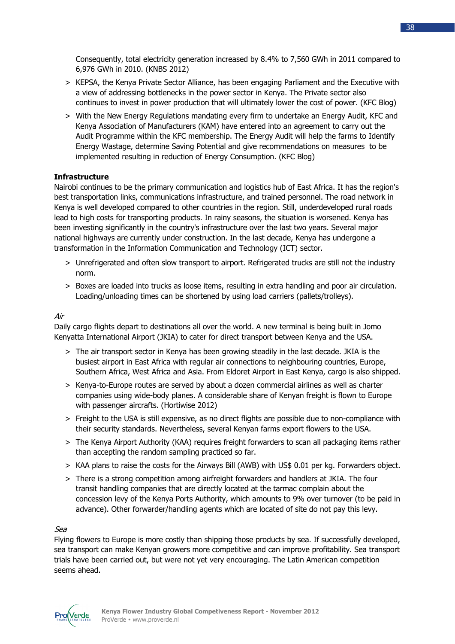

- > KEPSA, the Kenya Private Sector Alliance, has been engaging Parliament and the Executive with a view of addressing bottlenecks in the power sector in Kenya. The Private sector also continues to invest in power production that will ultimately lower the cost of power. (KFC Blog)
- > With the New Energy Regulations mandating every firm to undertake an Energy Audit, KFC and Kenya Association of Manufacturers (KAM) have entered into an agreement to carry out the Audit Programme within the KFC membership. The Energy Audit will help the farms to Identify Energy Wastage, determine Saving Potential and give recommendations on measures to be implemented resulting in reduction of Energy Consumption. (KFC Blog)

## **Infrastructure**

Nairobi continues to be the primary communication and logistics hub of East Africa. It has the region's best transportation links, communications infrastructure, and trained personnel. The road network in Kenya is well developed compared to other countries in the region. Still, underdeveloped rural roads lead to high costs for transporting products. In rainy seasons, the situation is worsened. Kenya has been investing significantly in the country's infrastructure over the last two years. Several major national highways are currently under construction. In the last decade, Kenya has undergone a transformation in the Information Communication and Technology (ICT) sector.

- > Unrefrigerated and often slow transport to airport. Refrigerated trucks are still not the industry norm.
- > Boxes are loaded into trucks as loose items, resulting in extra handling and poor air circulation. Loading/unloading times can be shortened by using load carriers (pallets/trolleys).

## Air

Daily cargo flights depart to destinations all over the world. A new terminal is being built in Jomo Kenyatta International Airport (JKIA) to cater for direct transport between Kenya and the USA.

- > The air transport sector in Kenya has been growing steadily in the last decade. JKIA is the busiest airport in East Africa with regular air connections to neighbouring countries, Europe, Southern Africa, West Africa and Asia. From Eldoret Airport in East Kenya, cargo is also shipped.
- > Kenya-to-Europe routes are served by about a dozen commercial airlines as well as charter companies using wide-body planes. A considerable share of Kenyan freight is flown to Europe with passenger aircrafts. (Hortiwise 2012)
- > Freight to the USA is still expensive, as no direct flights are possible due to non-compliance with their security standards. Nevertheless, several Kenyan farms export flowers to the USA.
- > The Kenya Airport Authority (KAA) requires freight forwarders to scan all packaging items rather than accepting the random sampling practiced so far.
- > KAA plans to raise the costs for the Airways Bill (AWB) with US\$ 0.01 per kg. Forwarders object.
- > There is a strong competition among airfreight forwarders and handlers at JKIA. The four transit handling companies that are directly located at the tarmac complain about the concession levy of the Kenya Ports Authority, which amounts to 9% over turnover (to be paid in advance). Other forwarder/handling agents which are located of site do not pay this levy.

## Sea

Flying flowers to Europe is more costly than shipping those products by sea. If successfully developed, sea transport can make Kenyan growers more competitive and can improve profitability. Sea transport trials have been carried out, but were not yet very encouraging. The Latin American competition seems ahead.

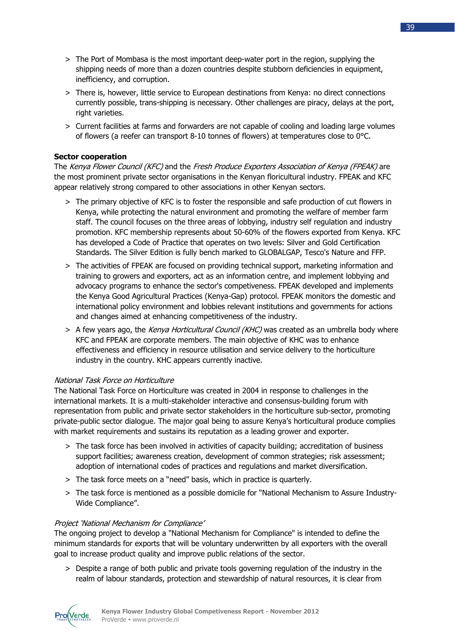- > The Port of Mombasa is the most important deep-water port in the region, supplying the shipping needs of more than a dozen countries despite stubborn deficiencies in equipment, inefficiency, and corruption.
- > There is, however, little service to European destinations from Kenya: no direct connections currently possible, trans-shipping is necessary. Other challenges are piracy, delays at the port, right varieties.
- > Current facilities at farms and forwarders are not capable of cooling and loading large volumes of flowers (a reefer can transport 8-10 tonnes of flowers) at temperatures close to  $0^{\circ}$ C.

## **Sector cooperation**

The Kenya Flower Council (KFC) and the Fresh Produce Exporters Association of Kenya (FPEAK) are the most prominent private sector organisations in the Kenyan floricultural industry. FPEAK and KFC appear relatively strong compared to other associations in other Kenyan sectors.

- > The primary objective of KFC is to foster the responsible and safe production of cut flowers in Kenya, while protecting the natural environment and promoting the welfare of member farm staff. The council focuses on the three areas of lobbying, industry self regulation and industry promotion. KFC membership represents about 50-60% of the flowers exported from Kenya. KFC has developed a Code of Practice that operates on two levels: Silver and Gold Certification Standards. The Silver Edition is fully bench marked to GLOBALGAP, Tesco's Nature and FFP.
- > The activities of FPEAK are focused on providing technical support, marketing information and training to growers and exporters, act as an information centre, and implement lobbying and advocacy programs to enhance the sector's competiveness. FPEAK developed and implements the Kenya Good Agricultural Practices (Kenya-Gap) protocol. FPEAK monitors the domestic and international policy environment and lobbies relevant institutions and governments for actions and changes aimed at enhancing competitiveness of the industry.
- > A few years ago, the Kenya Horticultural Council (KHC) was created as an umbrella body where KFC and FPEAK are corporate members. The main objective of KHC was to enhance effectiveness and efficiency in resource utilisation and service delivery to the horticulture industry in the country. KHC appears currently inactive.

## National Task Force on Horticulture

The National Task Force on Horticulture was created in 2004 in response to challenges in the international markets. It is a multi-stakeholder interactive and consensus-building forum with representation from public and private sector stakeholders in the horticulture sub-sector, promoting private-public sector dialogue. The major goal being to assure Kenya's horticultural produce complies with market requirements and sustains its reputation as a leading grower and exporter.

- > The task force has been involved in activities of capacity building; accreditation of business support facilities; awareness creation, development of common strategies; risk assessment; adoption of international codes of practices and regulations and market diversification.
- > The task force meets on a "need" basis, which in practice is quarterly.
- > The task force is mentioned as a possible domicile for "National Mechanism to Assure Industry-Wide Compliance".

## Project 'National Mechanism for Compliance'

The ongoing project to develop a "National Mechanism for Compliance" is intended to define the minimum standards for exports that will be voluntary underwritten by all exporters with the overall goal to increase product quality and improve public relations of the sector.

> Despite a range of both public and private tools governing regulation of the industry in the realm of labour standards, protection and stewardship of natural resources, it is clear from

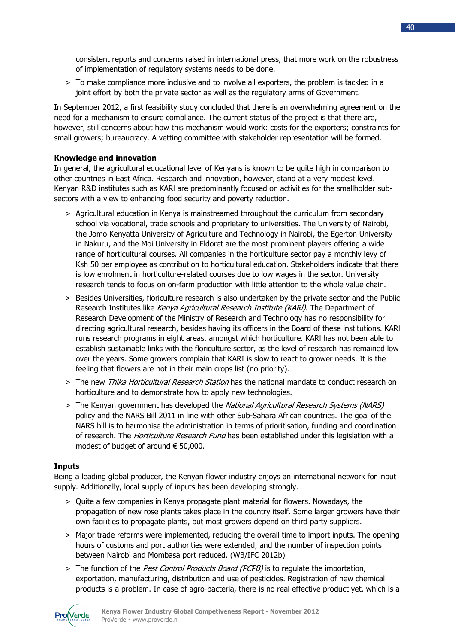consistent reports and concerns raised in international press, that more work on the robustness of implementation of regulatory systems needs to be done.

> To make compliance more inclusive and to involve all exporters, the problem is tackled in a joint effort by both the private sector as well as the regulatory arms of Government.

In September 2012, a first feasibility study concluded that there is an overwhelming agreement on the need for a mechanism to ensure compliance. The current status of the project is that there are, however, still concerns about how this mechanism would work: costs for the exporters; constraints for small growers; bureaucracy. A vetting committee with stakeholder representation will be formed.

## **Knowledge and innovation**

In general, the agricultural educational level of Kenyans is known to be quite high in comparison to other countries in East Africa. Research and innovation, however, stand at a very modest level. Kenyan R&D institutes such as KARl are predominantly focused on activities for the smallholder subsectors with a view to enhancing food security and poverty reduction.

- > Agricultural education in Kenya is mainstreamed throughout the curriculum from secondary school via vocational, trade schools and proprietary to universities. The University of Nairobi, the Jomo Kenyatta University of Agriculture and Technology in Nairobi, the Egerton University in Nakuru, and the Moi University in Eldoret are the most prominent players offering a wide range of horticultural courses. All companies in the horticulture sector pay a monthly levy of Ksh 50 per employee as contribution to horticultural education. Stakeholders indicate that there is low enrolment in horticulture-related courses due to low wages in the sector. University research tends to focus on on-farm production with little attention to the whole value chain.
- > Besides Universities, floriculture research is also undertaken by the private sector and the Public Research Institutes like Kenya Agricultural Research Institute (KARI). The Department of Research Development of the Ministry of Research and Technology has no responsibility for directing agricultural research, besides having its officers in the Board of these institutions. KARl runs research programs in eight areas, amongst which horticulture. KARl has not been able to establish sustainable links with the floriculture sector, as the level of research has remained low over the years. Some growers complain that KARI is slow to react to grower needs. It is the feeling that flowers are not in their main crops list (no priority).
- > The new Thika Horticultural Research Station has the national mandate to conduct research on horticulture and to demonstrate how to apply new technologies.
- > The Kenyan government has developed the National Agricultural Research Systems (NARS) policy and the NARS Bill 2011 in line with other Sub-Sahara African countries. The goal of the NARS bill is to harmonise the administration in terms of prioritisation, funding and coordination of research. The *Horticulture Research Fund* has been established under this legislation with a modest of budget of around  $\epsilon$  50,000.

## **Inputs**

Being a leading global producer, the Kenyan flower industry enjoys an international network for input supply. Additionally, local supply of inputs has been developing strongly.

- > Quite a few companies in Kenya propagate plant material for flowers. Nowadays, the propagation of new rose plants takes place in the country itself. Some larger growers have their own facilities to propagate plants, but most growers depend on third party suppliers.
- > Major trade reforms were implemented, reducing the overall time to import inputs. The opening hours of customs and port authorities were extended, and the number of inspection points between Nairobi and Mombasa port reduced. (WB/IFC 2012b)
- > The function of the *Pest Control Products Board (PCPB)* is to regulate the importation, exportation, manufacturing, distribution and use of pesticides. Registration of new chemical products is a problem. In case of agro-bacteria, there is no real effective product yet, which is a

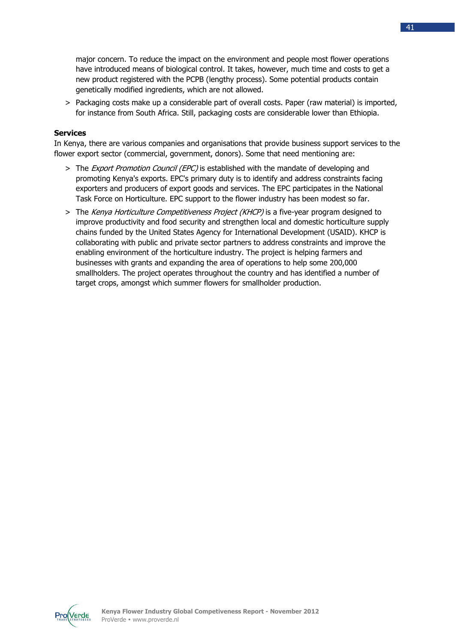major concern. To reduce the impact on the environment and people most flower operations have introduced means of biological control. It takes, however, much time and costs to get a new product registered with the PCPB (lengthy process). Some potential products contain genetically modified ingredients, which are not allowed.

> Packaging costs make up a considerable part of overall costs. Paper (raw material) is imported, for instance from South Africa. Still, packaging costs are considerable lower than Ethiopia.

## **Services**

In Kenya, there are various companies and organisations that provide business support services to the flower export sector (commercial, government, donors). Some that need mentioning are:

- > The *Export Promotion Council (EPC)* is established with the mandate of developing and promoting Kenya's exports. EPC's primary duty is to identify and address constraints facing exporters and producers of export goods and services. The EPC participates in the National Task Force on Horticulture. EPC support to the flower industry has been modest so far.
- > The Kenya Horticulture Competitiveness Project (KHCP) is a five-year program designed to improve productivity and food security and strengthen local and domestic horticulture supply chains funded by the United States Agency for International Development (USAID). KHCP is collaborating with public and private sector partners to address constraints and improve the enabling environment of the horticulture industry. The project is helping farmers and businesses with grants and expanding the area of operations to help some 200,000 smallholders. The project operates throughout the country and has identified a number of target crops, amongst which summer flowers for smallholder production.

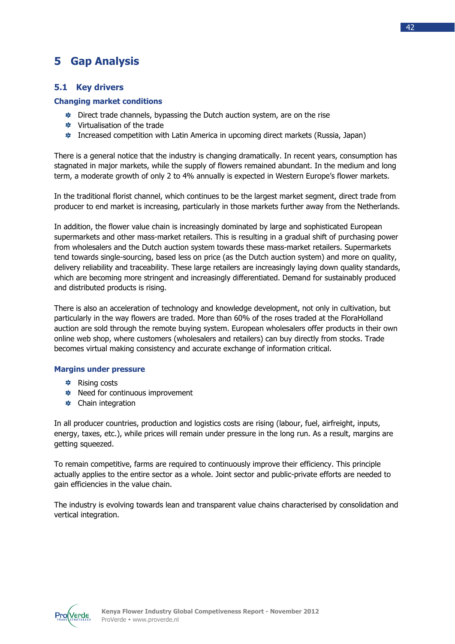## **5 Gap Analysis**

## **5.1 Key drivers**

## **Changing market conditions**

- $\overline{\ast}$  Direct trade channels, bypassing the Dutch auction system, are on the rise
- **\*** Virtualisation of the trade
- Increased competition with Latin America in upcoming direct markets (Russia, Japan)

There is a general notice that the industry is changing dramatically. In recent years, consumption has stagnated in major markets, while the supply of flowers remained abundant. In the medium and long term, a moderate growth of only 2 to 4% annually is expected in Western Europe's flower markets.

In the traditional florist channel, which continues to be the largest market segment, direct trade from producer to end market is increasing, particularly in those markets further away from the Netherlands.

In addition, the flower value chain is increasingly dominated by large and sophisticated European supermarkets and other mass-market retailers. This is resulting in a gradual shift of purchasing power from wholesalers and the Dutch auction system towards these mass-market retailers. Supermarkets tend towards single-sourcing, based less on price (as the Dutch auction system) and more on quality, delivery reliability and traceability. These large retailers are increasingly laying down quality standards, which are becoming more stringent and increasingly differentiated. Demand for sustainably produced and distributed products is rising.

There is also an acceleration of technology and knowledge development, not only in cultivation, but particularly in the way flowers are traded. More than 60% of the roses traded at the FloraHolland auction are sold through the remote buying system. European wholesalers offer products in their own online web shop, where customers (wholesalers and retailers) can buy directly from stocks. Trade becomes virtual making consistency and accurate exchange of information critical.

## **Margins under pressure**

- **\*** Rising costs
- **\*** Need for continuous improvement
- **\*** Chain integration

In all producer countries, production and logistics costs are rising (labour, fuel, airfreight, inputs, energy, taxes, etc.), while prices will remain under pressure in the long run. As a result, margins are getting squeezed.

To remain competitive, farms are required to continuously improve their efficiency. This principle actually applies to the entire sector as a whole. Joint sector and public-private efforts are needed to gain efficiencies in the value chain.

The industry is evolving towards lean and transparent value chains characterised by consolidation and vertical integration.

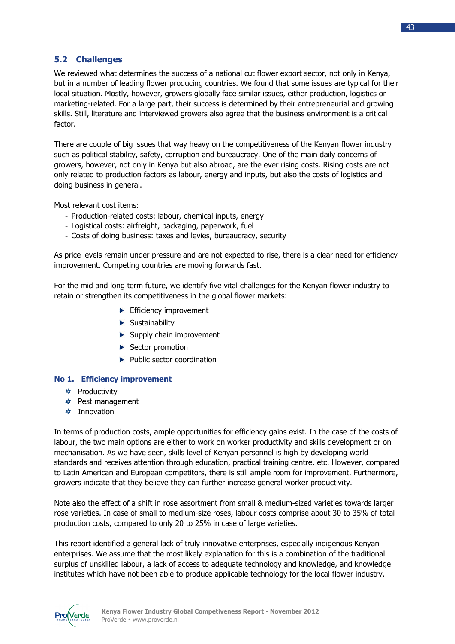## **5.2 Challenges**

We reviewed what determines the success of a national cut flower export sector, not only in Kenya, but in a number of leading flower producing countries. We found that some issues are typical for their local situation. Mostly, however, growers globally face similar issues, either production, logistics or marketing-related. For a large part, their success is determined by their entrepreneurial and growing skills. Still, literature and interviewed growers also agree that the business environment is a critical factor.

There are couple of big issues that way heavy on the competitiveness of the Kenyan flower industry such as political stability, safety, corruption and bureaucracy. One of the main daily concerns of growers, however, not only in Kenya but also abroad, are the ever rising costs. Rising costs are not only related to production factors as labour, energy and inputs, but also the costs of logistics and doing business in general.

Most relevant cost items:

- Production-related costs: labour, chemical inputs, energy
- Logistical costs: airfreight, packaging, paperwork, fuel
- Costs of doing business: taxes and levies, bureaucracy, security

As price levels remain under pressure and are not expected to rise, there is a clear need for efficiency improvement. Competing countries are moving forwards fast.

For the mid and long term future, we identify five vital challenges for the Kenyan flower industry to retain or strengthen its competitiveness in the global flower markets:

- **Efficiency improvement**
- **Sustainability**
- $\blacktriangleright$  Supply chain improvement
- Sector promotion
- $\blacktriangleright$  Public sector coordination

## **No 1. Efficiency improvement**

- **\*** Productivity
- Pest management
- **‡** Innovation

In terms of production costs, ample opportunities for efficiency gains exist. In the case of the costs of labour, the two main options are either to work on worker productivity and skills development or on mechanisation. As we have seen, skills level of Kenyan personnel is high by developing world standards and receives attention through education, practical training centre, etc. However, compared to Latin American and European competitors, there is still ample room for improvement. Furthermore, growers indicate that they believe they can further increase general worker productivity.

Note also the effect of a shift in rose assortment from small & medium-sized varieties towards larger rose varieties. In case of small to medium-size roses, labour costs comprise about 30 to 35% of total production costs, compared to only 20 to 25% in case of large varieties.

This report identified a general lack of truly innovative enterprises, especially indigenous Kenyan enterprises. We assume that the most likely explanation for this is a combination of the traditional surplus of unskilled labour, a lack of access to adequate technology and knowledge, and knowledge institutes which have not been able to produce applicable technology for the local flower industry.

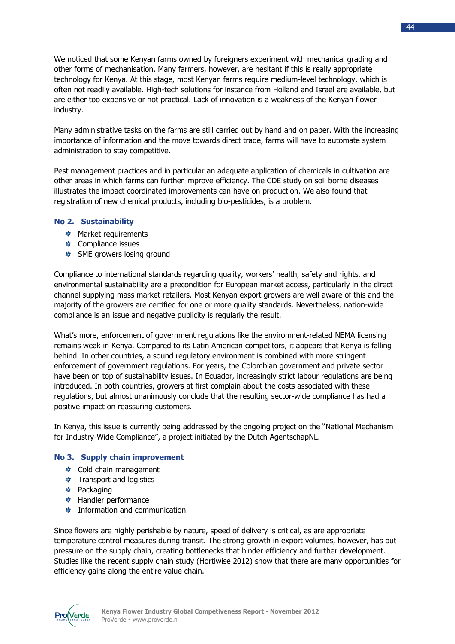We noticed that some Kenyan farms owned by foreigners experiment with mechanical grading and other forms of mechanisation. Many farmers, however, are hesitant if this is really appropriate technology for Kenya. At this stage, most Kenyan farms require medium-level technology, which is often not readily available. High-tech solutions for instance from Holland and Israel are available, but are either too expensive or not practical. Lack of innovation is a weakness of the Kenyan flower industry.

Many administrative tasks on the farms are still carried out by hand and on paper. With the increasing importance of information and the move towards direct trade, farms will have to automate system administration to stay competitive.

Pest management practices and in particular an adequate application of chemicals in cultivation are other areas in which farms can further improve efficiency. The CDE study on soil borne diseases illustrates the impact coordinated improvements can have on production. We also found that registration of new chemical products, including bio-pesticides, is a problem.

## **No 2. Sustainability**

- **\*** Market requirements
- **‡** Compliance issues
- **SME growers losing ground**

Compliance to international standards regarding quality, workers' health, safety and rights, and environmental sustainability are a precondition for European market access, particularly in the direct channel supplying mass market retailers. Most Kenyan export growers are well aware of this and the majority of the growers are certified for one or more quality standards. Nevertheless, nation-wide compliance is an issue and negative publicity is regularly the result.

What's more, enforcement of government regulations like the environment-related NEMA licensing remains weak in Kenya. Compared to its Latin American competitors, it appears that Kenya is falling behind. In other countries, a sound regulatory environment is combined with more stringent enforcement of government regulations. For years, the Colombian government and private sector have been on top of sustainability issues. In Ecuador, increasingly strict labour regulations are being introduced. In both countries, growers at first complain about the costs associated with these regulations, but almost unanimously conclude that the resulting sector-wide compliance has had a positive impact on reassuring customers.

In Kenya, this issue is currently being addressed by the ongoing project on the "National Mechanism for Industry-Wide Compliance", a project initiated by the Dutch AgentschapNL.

#### **No 3. Supply chain improvement**

- Cold chain management
- $\ast$  Transport and logistics
- **≉** Packaging
- **S** Handler performance
- **★** Information and communication

Since flowers are highly perishable by nature, speed of delivery is critical, as are appropriate temperature control measures during transit. The strong growth in export volumes, however, has put pressure on the supply chain, creating bottlenecks that hinder efficiency and further development. Studies like the recent supply chain study (Hortiwise 2012) show that there are many opportunities for efficiency gains along the entire value chain.

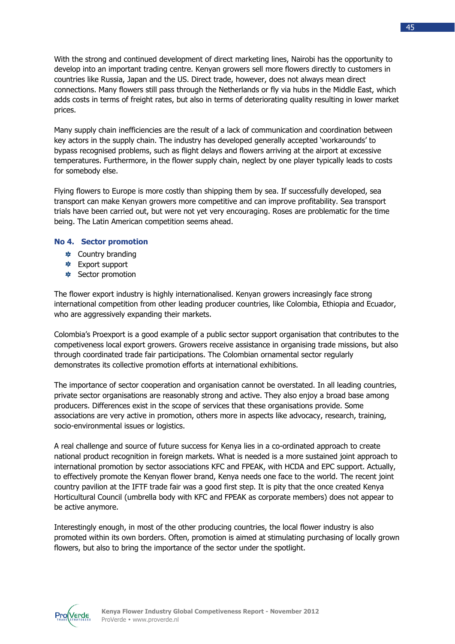With the strong and continued development of direct marketing lines, Nairobi has the opportunity to develop into an important trading centre. Kenyan growers sell more flowers directly to customers in countries like Russia, Japan and the US. Direct trade, however, does not always mean direct connections. Many flowers still pass through the Netherlands or fly via hubs in the Middle East, which adds costs in terms of freight rates, but also in terms of deteriorating quality resulting in lower market prices.

Many supply chain inefficiencies are the result of a lack of communication and coordination between key actors in the supply chain. The industry has developed generally accepted 'workarounds' to bypass recognised problems, such as flight delays and flowers arriving at the airport at excessive temperatures. Furthermore, in the flower supply chain, neglect by one player typically leads to costs for somebody else.

Flying flowers to Europe is more costly than shipping them by sea. If successfully developed, sea transport can make Kenyan growers more competitive and can improve profitability. Sea transport trials have been carried out, but were not yet very encouraging. Roses are problematic for the time being. The Latin American competition seems ahead.

#### **No 4. Sector promotion**

- **★** Country branding
- Export support
- $\frac{1}{2}$  Sector promotion

The flower export industry is highly internationalised. Kenyan growers increasingly face strong international competition from other leading producer countries, like Colombia, Ethiopia and Ecuador, who are aggressively expanding their markets.

Colombia's Proexport is a good example of a public sector support organisation that contributes to the competiveness local export growers. Growers receive assistance in organising trade missions, but also through coordinated trade fair participations. The Colombian ornamental sector regularly demonstrates its collective promotion efforts at international exhibitions.

The importance of sector cooperation and organisation cannot be overstated. In all leading countries, private sector organisations are reasonably strong and active. They also enjoy a broad base among producers. Differences exist in the scope of services that these organisations provide. Some associations are very active in promotion, others more in aspects like advocacy, research, training, socio-environmental issues or logistics.

A real challenge and source of future success for Kenya lies in a co-ordinated approach to create national product recognition in foreign markets. What is needed is a more sustained joint approach to international promotion by sector associations KFC and FPEAK, with HCDA and EPC support. Actually, to effectively promote the Kenyan flower brand, Kenya needs one face to the world. The recent joint country pavilion at the IFTF trade fair was a good first step. It is pity that the once created Kenya Horticultural Council (umbrella body with KFC and FPEAK as corporate members) does not appear to be active anymore.

Interestingly enough, in most of the other producing countries, the local flower industry is also promoted within its own borders. Often, promotion is aimed at stimulating purchasing of locally grown flowers, but also to bring the importance of the sector under the spotlight.

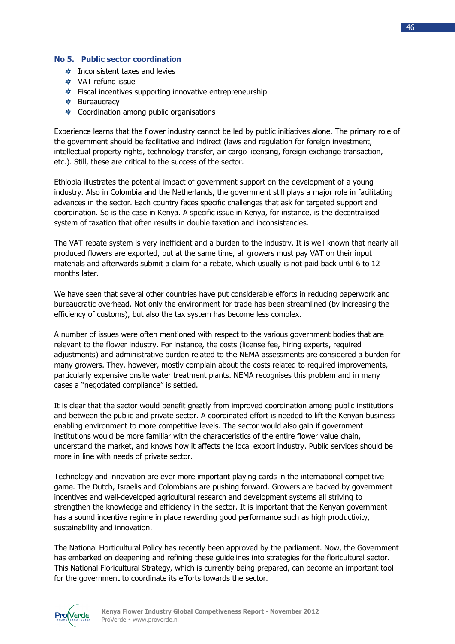#### **No 5. Public sector coordination**

- **\*** Inconsistent taxes and levies
- **\*** VAT refund issue
- **<u>\*</u>** Fiscal incentives supporting innovative entrepreneurship
- **\*** Bureaucracy
- $\ast$  Coordination among public organisations

Experience learns that the flower industry cannot be led by public initiatives alone. The primary role of the government should be facilitative and indirect (laws and regulation for foreign investment, intellectual property rights, technology transfer, air cargo licensing, foreign exchange transaction, etc.). Still, these are critical to the success of the sector.

Ethiopia illustrates the potential impact of government support on the development of a young industry. Also in Colombia and the Netherlands, the government still plays a major role in facilitating advances in the sector. Each country faces specific challenges that ask for targeted support and coordination. So is the case in Kenya. A specific issue in Kenya, for instance, is the decentralised system of taxation that often results in double taxation and inconsistencies.

The VAT rebate system is very inefficient and a burden to the industry. It is well known that nearly all produced flowers are exported, but at the same time, all growers must pay VAT on their input materials and afterwards submit a claim for a rebate, which usually is not paid back until 6 to 12 months later.

We have seen that several other countries have put considerable efforts in reducing paperwork and bureaucratic overhead. Not only the environment for trade has been streamlined (by increasing the efficiency of customs), but also the tax system has become less complex.

A number of issues were often mentioned with respect to the various government bodies that are relevant to the flower industry. For instance, the costs (license fee, hiring experts, required adjustments) and administrative burden related to the NEMA assessments are considered a burden for many growers. They, however, mostly complain about the costs related to required improvements, particularly expensive onsite water treatment plants. NEMA recognises this problem and in many cases a "negotiated compliance" is settled.

It is clear that the sector would benefit greatly from improved coordination among public institutions and between the public and private sector. A coordinated effort is needed to lift the Kenyan business enabling environment to more competitive levels. The sector would also gain if government institutions would be more familiar with the characteristics of the entire flower value chain, understand the market, and knows how it affects the local export industry. Public services should be more in line with needs of private sector.

Technology and innovation are ever more important playing cards in the international competitive game. The Dutch, Israelis and Colombians are pushing forward. Growers are backed by government incentives and well-developed agricultural research and development systems all striving to strengthen the knowledge and efficiency in the sector. It is important that the Kenyan government has a sound incentive regime in place rewarding good performance such as high productivity, sustainability and innovation.

The National Horticultural Policy has recently been approved by the parliament. Now, the Government has embarked on deepening and refining these guidelines into strategies for the floricultural sector. This National Floricultural Strategy, which is currently being prepared, can become an important tool for the government to coordinate its efforts towards the sector.

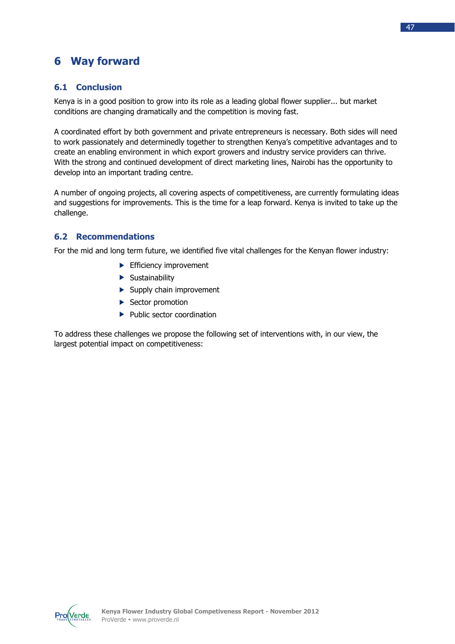## **6 Way forward**

## **6.1 Conclusion**

Kenya is in a good position to grow into its role as a leading global flower supplier... but market conditions are changing dramatically and the competition is moving fast.

A coordinated effort by both government and private entrepreneurs is necessary. Both sides will need to work passionately and determinedly together to strengthen Kenya's competitive advantages and to create an enabling environment in which export growers and industry service providers can thrive. With the strong and continued development of direct marketing lines, Nairobi has the opportunity to develop into an important trading centre.

A number of ongoing projects, all covering aspects of competitiveness, are currently formulating ideas and suggestions for improvements. This is the time for a leap forward. Kenya is invited to take up the challenge.

## **6.2 Recommendations**

For the mid and long term future, we identified five vital challenges for the Kenyan flower industry:

- $\blacktriangleright$  Efficiency improvement
- $\blacktriangleright$  Sustainability
- $\blacktriangleright$  Supply chain improvement
- Sector promotion
- $\blacktriangleright$  Public sector coordination

To address these challenges we propose the following set of interventions with, in our view, the largest potential impact on competitiveness: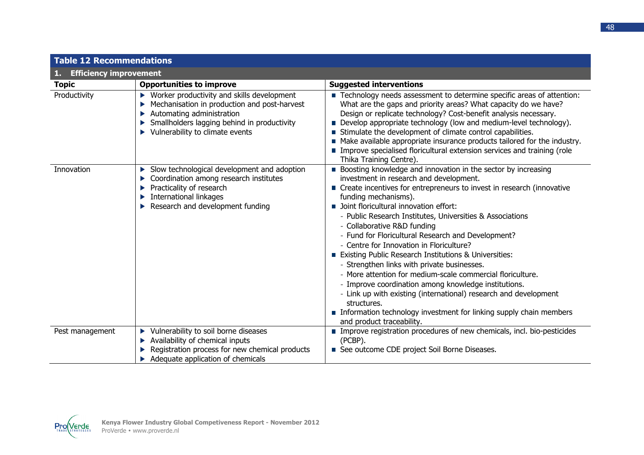| <b>Table 12 Recommendations</b>     |                                                                                                                                                                                                                                                       |                                                                                                                                                                                                                                                                                                                                                                                                                                                                                                                                                                                                                                                                                                                                                                                                                                                                                |  |  |  |  |  |
|-------------------------------------|-------------------------------------------------------------------------------------------------------------------------------------------------------------------------------------------------------------------------------------------------------|--------------------------------------------------------------------------------------------------------------------------------------------------------------------------------------------------------------------------------------------------------------------------------------------------------------------------------------------------------------------------------------------------------------------------------------------------------------------------------------------------------------------------------------------------------------------------------------------------------------------------------------------------------------------------------------------------------------------------------------------------------------------------------------------------------------------------------------------------------------------------------|--|--|--|--|--|
| <b>Efficiency improvement</b><br>1. |                                                                                                                                                                                                                                                       |                                                                                                                                                                                                                                                                                                                                                                                                                                                                                                                                                                                                                                                                                                                                                                                                                                                                                |  |  |  |  |  |
| <b>Topic</b>                        | <b>Opportunities to improve</b>                                                                                                                                                                                                                       | <b>Suggested interventions</b>                                                                                                                                                                                                                                                                                                                                                                                                                                                                                                                                                                                                                                                                                                                                                                                                                                                 |  |  |  |  |  |
| Productivity                        | $\blacktriangleright$ Worker productivity and skills development<br>Mechanisation in production and post-harvest<br>Automating administration<br>Smallholders lagging behind in productivity<br>$\blacktriangleright$ Vulnerability to climate events | ■ Technology needs assessment to determine specific areas of attention:<br>What are the gaps and priority areas? What capacity do we have?<br>Design or replicate technology? Cost-benefit analysis necessary.<br>Develop appropriate technology (low and medium-level technology).<br>Stimulate the development of climate control capabilities.<br>Make available appropriate insurance products tailored for the industry.<br>Improve specialised floricultural extension services and training (role<br>Thika Training Centre).                                                                                                                                                                                                                                                                                                                                            |  |  |  |  |  |
| Innovation                          | Slow technological development and adoption<br>Coordination among research institutes<br>▶<br>Practicality of research<br>▶<br>International linkages<br>Research and development funding                                                             | <b>Boosting knowledge and innovation in the sector by increasing</b><br>investment in research and development.<br>■ Create incentives for entrepreneurs to invest in research (innovative<br>funding mechanisms).<br>Joint floricultural innovation effort:<br>- Public Research Institutes, Universities & Associations<br>- Collaborative R&D funding<br>- Fund for Floricultural Research and Development?<br>- Centre for Innovation in Floriculture?<br>Existing Public Research Institutions & Universities:<br>- Strengthen links with private businesses.<br>- More attention for medium-scale commercial floriculture.<br>- Improve coordination among knowledge institutions.<br>- Link up with existing (international) research and development<br>structures.<br>Information technology investment for linking supply chain members<br>and product traceability. |  |  |  |  |  |
| Pest management                     | ▶ Vulnerability to soil borne diseases<br>Availability of chemical inputs<br>Registration process for new chemical products<br>Adequate application of chemicals                                                                                      | Improve registration procedures of new chemicals, incl. bio-pesticides<br>(PCBP).<br>See outcome CDE project Soil Borne Diseases.                                                                                                                                                                                                                                                                                                                                                                                                                                                                                                                                                                                                                                                                                                                                              |  |  |  |  |  |

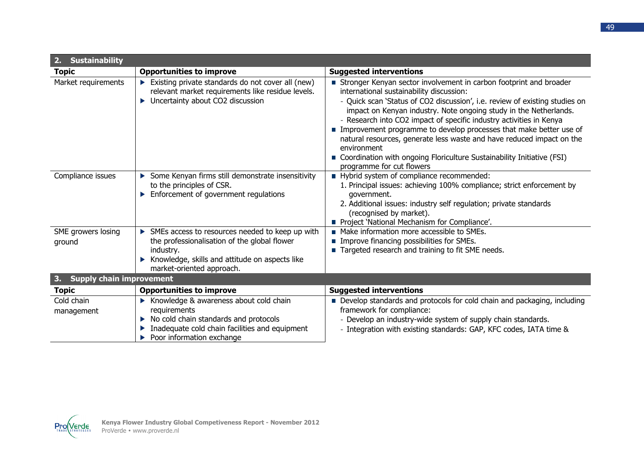| <b>Sustainability</b><br>2.           |                                                                                                                                                                                             |                                                                                                                                                                                                                                                                                                                                                                                                                                                                                                                                                                                                                |  |  |  |  |
|---------------------------------------|---------------------------------------------------------------------------------------------------------------------------------------------------------------------------------------------|----------------------------------------------------------------------------------------------------------------------------------------------------------------------------------------------------------------------------------------------------------------------------------------------------------------------------------------------------------------------------------------------------------------------------------------------------------------------------------------------------------------------------------------------------------------------------------------------------------------|--|--|--|--|
| <b>Topic</b>                          | <b>Opportunities to improve</b>                                                                                                                                                             | <b>Suggested interventions</b>                                                                                                                                                                                                                                                                                                                                                                                                                                                                                                                                                                                 |  |  |  |  |
| Market requirements                   | Existing private standards do not cover all (new)<br>relevant market requirements like residue levels.<br>• Uncertainty about CO2 discussion                                                | Stronger Kenyan sector involvement in carbon footprint and broader<br>international sustainability discussion:<br>- Quick scan 'Status of CO2 discussion', i.e. review of existing studies on<br>impact on Kenyan industry. Note ongoing study in the Netherlands.<br>- Research into CO2 impact of specific industry activities in Kenya<br>Improvement programme to develop processes that make better use of<br>natural resources, generate less waste and have reduced impact on the<br>environment<br>Coordination with ongoing Floriculture Sustainability Initiative (FSI)<br>programme for cut flowers |  |  |  |  |
| Compliance issues                     | Some Kenyan firms still demonstrate insensitivity<br>to the principles of CSR.<br>Enforcement of government regulations                                                                     | Hybrid system of compliance recommended:<br>1. Principal issues: achieving 100% compliance; strict enforcement by<br>government.<br>2. Additional issues: industry self regulation; private standards<br>(recognised by market).<br>Project 'National Mechanism for Compliance'.                                                                                                                                                                                                                                                                                                                               |  |  |  |  |
| SME growers losing<br>ground          | SMEs access to resources needed to keep up with<br>the professionalisation of the global flower<br>industry.<br>Knowledge, skills and attitude on aspects like<br>market-oriented approach. | • Make information more accessible to SMEs.<br>Improve financing possibilities for SMEs.<br>Targeted research and training to fit SME needs.                                                                                                                                                                                                                                                                                                                                                                                                                                                                   |  |  |  |  |
| <b>Supply chain improvement</b><br>3. |                                                                                                                                                                                             |                                                                                                                                                                                                                                                                                                                                                                                                                                                                                                                                                                                                                |  |  |  |  |
| <b>Topic</b>                          | <b>Opportunities to improve</b>                                                                                                                                                             | <b>Suggested interventions</b>                                                                                                                                                                                                                                                                                                                                                                                                                                                                                                                                                                                 |  |  |  |  |
| Cold chain<br>management              | Knowledge & awareness about cold chain<br>requirements<br>No cold chain standards and protocols<br>Inadequate cold chain facilities and equipment<br>Poor information exchange              | Develop standards and protocols for cold chain and packaging, including<br>framework for compliance:<br>- Develop an industry-wide system of supply chain standards.<br>- Integration with existing standards: GAP, KFC codes, IATA time &                                                                                                                                                                                                                                                                                                                                                                     |  |  |  |  |

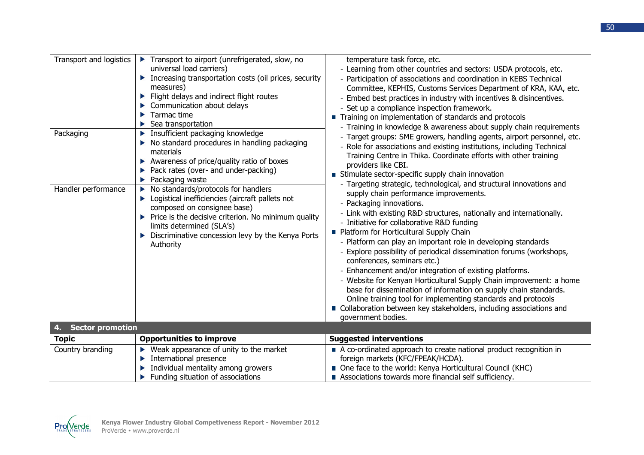| Transport and logistics<br>Packaging<br>Handler performance | Transport to airport (unrefrigerated, slow, no<br>universal load carriers)<br>Increasing transportation costs (oil prices, security<br>measures)<br>Flight delays and indirect flight routes<br>Communication about delays<br>Tarmac time<br>▶<br>Sea transportation<br>Insufficient packaging knowledge<br>No standard procedures in handling packaging<br>materials<br>Awareness of price/quality ratio of boxes<br>►<br>Pack rates (over- and under-packing)<br>Packaging waste<br>No standards/protocols for handlers<br>▶<br>Logistical inefficiencies (aircraft pallets not<br>composed on consignee base)<br>$\blacktriangleright$ Price is the decisive criterion. No minimum quality<br>limits determined (SLA's)<br>Discriminative concession levy by the Kenya Ports<br>Authority | temperature task force, etc.<br>- Learning from other countries and sectors: USDA protocols, etc.<br>- Participation of associations and coordination in KEBS Technical<br>Committee, KEPHIS, Customs Services Department of KRA, KAA, etc.<br>- Embed best practices in industry with incentives & disincentives.<br>- Set up a compliance inspection framework.<br>Training on implementation of standards and protocols<br>- Training in knowledge & awareness about supply chain requirements<br>- Target groups: SME growers, handling agents, airport personnel, etc.<br>- Role for associations and existing institutions, including Technical<br>Training Centre in Thika. Coordinate efforts with other training<br>providers like CBI.<br>Stimulate sector-specific supply chain innovation<br>- Targeting strategic, technological, and structural innovations and<br>supply chain performance improvements.<br>- Packaging innovations.<br>- Link with existing R&D structures, nationally and internationally.<br>- Initiative for collaborative R&D funding<br>Platform for Horticultural Supply Chain<br>- Platform can play an important role in developing standards<br>- Explore possibility of periodical dissemination forums (workshops,<br>conferences, seminars etc.)<br>- Enhancement and/or integration of existing platforms.<br>- Website for Kenyan Horticultural Supply Chain improvement: a home<br>base for dissemination of information on supply chain standards.<br>Online training tool for implementing standards and protocols<br>Collaboration between key stakeholders, including associations and<br>government bodies. |
|-------------------------------------------------------------|----------------------------------------------------------------------------------------------------------------------------------------------------------------------------------------------------------------------------------------------------------------------------------------------------------------------------------------------------------------------------------------------------------------------------------------------------------------------------------------------------------------------------------------------------------------------------------------------------------------------------------------------------------------------------------------------------------------------------------------------------------------------------------------------|-----------------------------------------------------------------------------------------------------------------------------------------------------------------------------------------------------------------------------------------------------------------------------------------------------------------------------------------------------------------------------------------------------------------------------------------------------------------------------------------------------------------------------------------------------------------------------------------------------------------------------------------------------------------------------------------------------------------------------------------------------------------------------------------------------------------------------------------------------------------------------------------------------------------------------------------------------------------------------------------------------------------------------------------------------------------------------------------------------------------------------------------------------------------------------------------------------------------------------------------------------------------------------------------------------------------------------------------------------------------------------------------------------------------------------------------------------------------------------------------------------------------------------------------------------------------------------------------------------------------------------------------------------------------|
| <b>Sector promotion</b><br>4.                               |                                                                                                                                                                                                                                                                                                                                                                                                                                                                                                                                                                                                                                                                                                                                                                                              |                                                                                                                                                                                                                                                                                                                                                                                                                                                                                                                                                                                                                                                                                                                                                                                                                                                                                                                                                                                                                                                                                                                                                                                                                                                                                                                                                                                                                                                                                                                                                                                                                                                                 |
| <b>Topic</b>                                                | <b>Opportunities to improve</b>                                                                                                                                                                                                                                                                                                                                                                                                                                                                                                                                                                                                                                                                                                                                                              | <b>Suggested interventions</b>                                                                                                                                                                                                                                                                                                                                                                                                                                                                                                                                                                                                                                                                                                                                                                                                                                                                                                                                                                                                                                                                                                                                                                                                                                                                                                                                                                                                                                                                                                                                                                                                                                  |
| Country branding                                            | $\blacktriangleright$ Weak appearance of unity to the market                                                                                                                                                                                                                                                                                                                                                                                                                                                                                                                                                                                                                                                                                                                                 | A co-ordinated approach to create national product recognition in                                                                                                                                                                                                                                                                                                                                                                                                                                                                                                                                                                                                                                                                                                                                                                                                                                                                                                                                                                                                                                                                                                                                                                                                                                                                                                                                                                                                                                                                                                                                                                                               |
|                                                             | International presence<br>▶                                                                                                                                                                                                                                                                                                                                                                                                                                                                                                                                                                                                                                                                                                                                                                  | foreign markets (KFC/FPEAK/HCDA).                                                                                                                                                                                                                                                                                                                                                                                                                                                                                                                                                                                                                                                                                                                                                                                                                                                                                                                                                                                                                                                                                                                                                                                                                                                                                                                                                                                                                                                                                                                                                                                                                               |
|                                                             | Individual mentality among growers                                                                                                                                                                                                                                                                                                                                                                                                                                                                                                                                                                                                                                                                                                                                                           | One face to the world: Kenya Horticultural Council (KHC)                                                                                                                                                                                                                                                                                                                                                                                                                                                                                                                                                                                                                                                                                                                                                                                                                                                                                                                                                                                                                                                                                                                                                                                                                                                                                                                                                                                                                                                                                                                                                                                                        |
|                                                             | Funding situation of associations                                                                                                                                                                                                                                                                                                                                                                                                                                                                                                                                                                                                                                                                                                                                                            | Associations towards more financial self sufficiency.                                                                                                                                                                                                                                                                                                                                                                                                                                                                                                                                                                                                                                                                                                                                                                                                                                                                                                                                                                                                                                                                                                                                                                                                                                                                                                                                                                                                                                                                                                                                                                                                           |

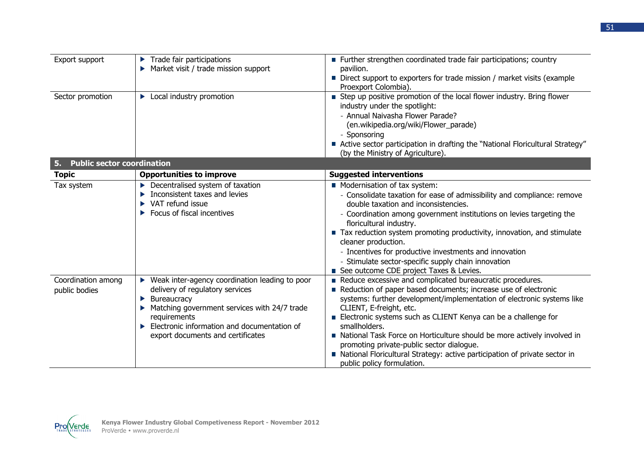| Export support                          | Trade fair participations<br>▶<br>Market visit / trade mission support                                                                                                                                                                                             | Further strengthen coordinated trade fair participations; country<br>pavilion.<br>■ Direct support to exporters for trade mission / market visits (example<br>Proexport Colombia).                                                                                                                                                                                                                                                                                                                                                                      |
|-----------------------------------------|--------------------------------------------------------------------------------------------------------------------------------------------------------------------------------------------------------------------------------------------------------------------|---------------------------------------------------------------------------------------------------------------------------------------------------------------------------------------------------------------------------------------------------------------------------------------------------------------------------------------------------------------------------------------------------------------------------------------------------------------------------------------------------------------------------------------------------------|
| Sector promotion                        | • Local industry promotion                                                                                                                                                                                                                                         | Step up positive promotion of the local flower industry. Bring flower<br>industry under the spotlight:<br>- Annual Naivasha Flower Parade?<br>(en.wikipedia.org/wiki/Flower_parade)<br>- Sponsoring<br>■ Active sector participation in drafting the "National Floricultural Strategy"<br>(by the Ministry of Agriculture).                                                                                                                                                                                                                             |
| <b>Public sector coordination</b><br>5. |                                                                                                                                                                                                                                                                    |                                                                                                                                                                                                                                                                                                                                                                                                                                                                                                                                                         |
| <b>Topic</b>                            | <b>Opportunities to improve</b>                                                                                                                                                                                                                                    | <b>Suggested interventions</b>                                                                                                                                                                                                                                                                                                                                                                                                                                                                                                                          |
| Tax system                              | $\blacktriangleright$ Decentralised system of taxation<br>Inconsistent taxes and levies<br>$\blacktriangleright$ VAT refund issue<br>Focus of fiscal incentives                                                                                                    | Modernisation of tax system:<br>- Consolidate taxation for ease of admissibility and compliance: remove<br>double taxation and inconsistencies.<br>- Coordination among government institutions on levies targeting the<br>floricultural industry.<br>Tax reduction system promoting productivity, innovation, and stimulate<br>cleaner production.<br>- Incentives for productive investments and innovation<br>- Stimulate sector-specific supply chain innovation<br>See outcome CDE project Taxes & Levies.                                         |
| Coordination among<br>public bodies     | ▶ Weak inter-agency coordination leading to poor<br>delivery of regulatory services<br><b>Bureaucracy</b><br>▶<br>Matching government services with 24/7 trade<br>requirements<br>Electronic information and documentation of<br>export documents and certificates | Reduce excessive and complicated bureaucratic procedures.<br>Reduction of paper based documents; increase use of electronic<br>systems: further development/implementation of electronic systems like<br>CLIENT, E-freight, etc.<br>Electronic systems such as CLIENT Kenya can be a challenge for<br>smallholders.<br>National Task Force on Horticulture should be more actively involved in<br>promoting private-public sector dialogue.<br>National Floricultural Strategy: active participation of private sector in<br>public policy formulation. |

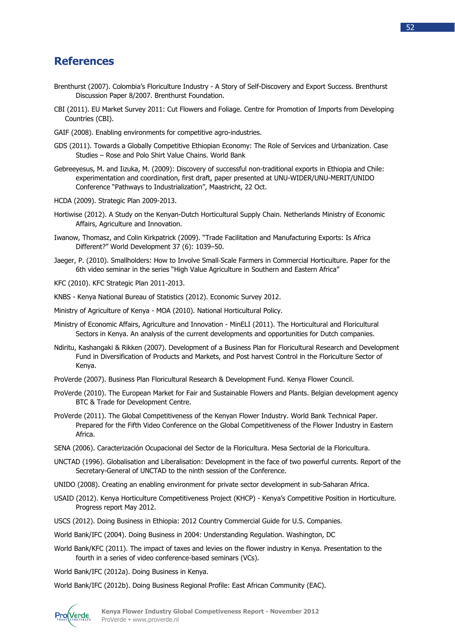## **References**

- Brenthurst (2007). Colombia's Floriculture Industry A Story of Self-Discovery and Export Success. Brenthurst Discussion Paper 8/2007. Brenthurst Foundation.
- CBI (2011). EU Market Survey 2011: Cut Flowers and Foliage. Centre for Promotion of Imports from Developing Countries (CBI).
- GAIF (2008). Enabling environments for competitive agro-industries.
- GDS (2011). Towards a Globally Competitive Ethiopian Economy: The Role of Services and Urbanization. Case Studies – Rose and Polo Shirt Value Chains. World Bank
- Gebreeyesus, M. and Iizuka, M. (2009): Discovery of successful non-traditional exports in Ethiopia and Chile: experimentation and coordination, first draft, paper presented at UNU-WIDER/UNU-MERIT/UNIDO Conference "Pathways to Industrialization", Maastricht, 22 Oct.
- HCDA (2009). Strategic Plan 2009-2013.
- Hortiwise (2012). A Study on the Kenyan-Dutch Horticultural Supply Chain. Netherlands Ministry of Economic Affairs, Agriculture and Innovation.
- Iwanow, Thomasz, and Colin Kirkpatrick (2009). "Trade Facilitation and Manufacturing Exports: Is Africa Different?" World Development 37 (6): 1039–50.
- Jaeger, P. (2010). Smallholders: How to Involve Small‐Scale Farmers in Commercial Horticulture. Paper for the 6th video seminar in the series "High Value Agriculture in Southern and Eastern Africa"
- KFC (2010). KFC Strategic Plan 2011-2013.
- KNBS Kenya National Bureau of Statistics (2012). Economic Survey 2012.
- Ministry of Agriculture of Kenya MOA (2010). National Horticultural Policy.
- Ministry of Economic Affairs, Agriculture and Innovation MinELI (2011). The Horticultural and Floricultural Sectors in Kenya. An analysis of the current developments and opportunities for Dutch companies.
- Ndiritu, Kashangaki & Rikken (2007). Development of a Business Plan for Floricultural Research and Development Fund in Diversification of Products and Markets, and Post harvest Control in the Floriculture Sector of Kenya.
- ProVerde (2007). Business Plan Floricultural Research & Development Fund. Kenya Flower Council.
- ProVerde (2010). The European Market for Fair and Sustainable Flowers and Plants. Belgian development agency BTC & Trade for Development Centre.
- ProVerde (2011). The Global Competitiveness of the Kenyan Flower Industry. World Bank Technical Paper. Prepared for the Fifth Video Conference on the Global Competitiveness of the Flower Industry in Eastern Africa.
- SENA (2006). Caracterización Ocupacional del Sector de la Floricultura. Mesa Sectorial de la Floricultura.
- UNCTAD (1996). Globalisation and Liberalisation: Development in the face of two powerful currents. Report of the Secretary-General of UNCTAD to the ninth session of the Conference.
- UNIDO (2008). Creating an enabling environment for private sector development in sub-Saharan Africa.
- USAID (2012). Kenya Horticulture Competitiveness Project (KHCP) Kenya's Competitive Position in Horticulture. Progress report May 2012.
- USCS (2012). Doing Business in Ethiopia: 2012 Country Commercial Guide for U.S. Companies.
- World Bank/IFC (2004). Doing Business in 2004: Understanding Regulation. Washington, DC
- World Bank/KFC (2011). The impact of taxes and levies on the flower industry in Kenya. Presentation to the fourth in a series of video conference-based seminars (VCs).

World Bank/IFC (2012a). Doing Business in Kenya.

World Bank/IFC (2012b). Doing Business Regional Profile: East African Community (EAC).

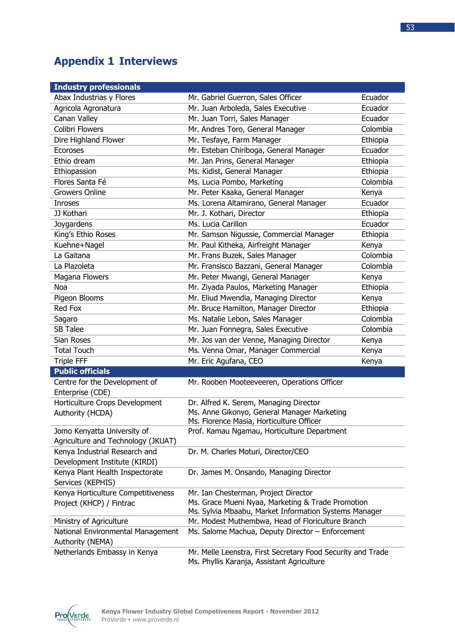## **Appendix 1 Interviews**

| <b>Industry professionals</b>                                                               |                                                       |          |  |
|---------------------------------------------------------------------------------------------|-------------------------------------------------------|----------|--|
| Abax Industrias y Flores                                                                    | Mr. Gabriel Guerron, Sales Officer                    | Ecuador  |  |
| Agricola Agronatura                                                                         | Mr. Juan Arboleda, Sales Executive                    | Ecuador  |  |
| Canan Valley                                                                                | Mr. Juan Torri, Sales Manager                         | Ecuador  |  |
| Colibri Flowers                                                                             | Mr. Andres Toro, General Manager                      | Colombia |  |
| Dire Highland Flower                                                                        | Mr. Tesfaye, Farm Manager                             | Ethiopia |  |
| <b>Ecoroses</b>                                                                             | Mr. Esteban Chiriboga, General Manager                | Ecuador  |  |
| Ethio dream                                                                                 | Mr. Jan Prins, General Manager                        | Ethiopia |  |
| Ethiopassion                                                                                | Ms. Kidist, General Manager                           | Ethiopia |  |
| Flores Santa Fé                                                                             | Ms. Lucia Pombo, Marketing                            | Colombia |  |
| <b>Growers Online</b>                                                                       | Mr. Peter Kaaka, General Manager                      | Kenya    |  |
| <b>Inroses</b>                                                                              | Ms. Lorena Altamirano, General Manager                | Ecuador  |  |
| JJ Kothari                                                                                  | Mr. J. Kothari, Director                              | Ethiopia |  |
| Joygardens                                                                                  | Ms. Lucia Carillon                                    | Ecuador  |  |
| King's Ethio Roses                                                                          | Mr. Samson Nigussie, Commercial Manager               | Ethiopia |  |
| Kuehne+Nagel                                                                                | Mr. Paul Kitheka, Airfreight Manager                  | Kenya    |  |
| La Gaitana                                                                                  | Mr. Frans Buzek, Sales Manager                        | Colombia |  |
| La Plazoleta                                                                                | Mr. Fransisco Bazzani, General Manager                | Colombia |  |
| Magana Flowers                                                                              | Mr. Peter Mwangi, General Manager                     | Kenya    |  |
| Noa                                                                                         | Mr. Ziyada Paulos, Marketing Manager                  | Ethiopia |  |
| Pigeon Blooms                                                                               | Mr. Eliud Mwendia, Managing Director                  | Kenya    |  |
| <b>Red Fox</b>                                                                              | Mr. Bruce Hamilton, Manager Director                  | Ethiopia |  |
| Sagaro                                                                                      | Ms. Natalie Lebon, Sales Manager                      | Colombia |  |
| <b>SB Talee</b>                                                                             | Mr. Juan Fonnegra, Sales Executive                    | Colombia |  |
| Sian Roses                                                                                  | Mr. Jos van der Venne, Managing Director              | Kenya    |  |
| <b>Total Touch</b>                                                                          | Ms. Venna Omar, Manager Commercial                    | Kenya    |  |
| <b>Triple FFF</b>                                                                           | Mr. Eric Agufana, CEO                                 | Kenya    |  |
| <b>Public officials</b>                                                                     |                                                       |          |  |
| Centre for the Development of                                                               | Mr. Rooben Mooteeveeren, Operations Officer           |          |  |
| Enterprise (CDE)                                                                            |                                                       |          |  |
| Horticulture Crops Development                                                              | Dr. Alfred K. Serem, Managing Director                |          |  |
| Authority (HCDA)                                                                            | Ms. Anne Gikonyo, General Manager Marketing           |          |  |
|                                                                                             | Ms. Florence Masia, Horticulture Officer              |          |  |
| Jomo Kenyatta University of                                                                 | Prof. Kamau Ngamau, Horticulture Department           |          |  |
| Agriculture and Technology (JKUAT)                                                          |                                                       |          |  |
| Kenya Industrial Research and<br>Development Institute (KIRDI)                              | Dr. M. Charles Moturi, Director/CEO                   |          |  |
| Kenya Plant Health Inspectorate                                                             | Dr. James M. Onsando, Managing Director               |          |  |
| Services (KEPHIS)                                                                           |                                                       |          |  |
| Kenya Horticulture Competitiveness                                                          | Mr. Ian Chesterman, Project Director                  |          |  |
| Project (KHCP) / Fintrac                                                                    | Ms. Grace Mueni Nyaa, Marketing & Trade Promotion     |          |  |
|                                                                                             | Ms. Sylvia Mbaabu, Market Information Systems Manager |          |  |
| Ministry of Agriculture                                                                     | Mr. Modest Muthembwa, Head of Floriculture Branch     |          |  |
| National Environmental Management                                                           | Ms. Salome Machua, Deputy Director - Enforcement      |          |  |
| Authority (NEMA)                                                                            |                                                       |          |  |
| Netherlands Embassy in Kenya<br>Mr. Melle Leenstra, First Secretary Food Security and Trade |                                                       |          |  |
|                                                                                             | Ms. Phyllis Karanja, Assistant Agriculture            |          |  |

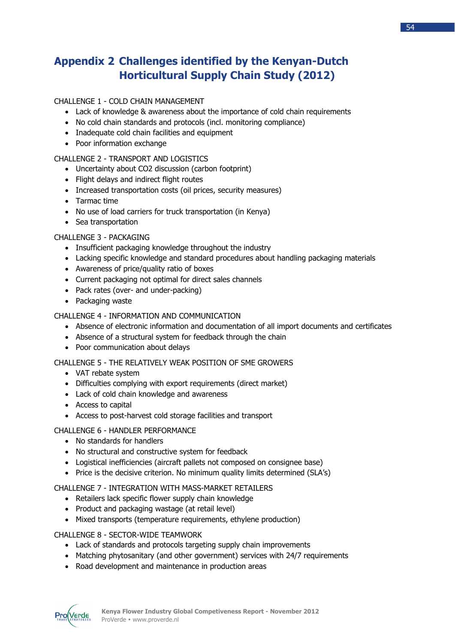## **Appendix 2 Challenges identified by the Kenyan-Dutch Horticultural Supply Chain Study (2012)**

## CHALLENGE 1 - COLD CHAIN MANAGEMENT

- Lack of knowledge & awareness about the importance of cold chain requirements
- No cold chain standards and protocols (incl. monitoring compliance)
- Inadequate cold chain facilities and equipment
- Poor information exchange

## CHALLENGE 2 - TRANSPORT AND LOGISTICS

- Uncertainty about CO2 discussion (carbon footprint)
- Flight delays and indirect flight routes
- Increased transportation costs (oil prices, security measures)
- Tarmac time
- No use of load carriers for truck transportation (in Kenya)
- Sea transportation

## CHALLENGE 3 - PACKAGING

- Insufficient packaging knowledge throughout the industry
- Lacking specific knowledge and standard procedures about handling packaging materials
- Awareness of price/quality ratio of boxes
- Current packaging not optimal for direct sales channels
- Pack rates (over- and under-packing)
- Packaging waste

## CHALLENGE 4 - INFORMATION AND COMMUNICATION

- Absence of electronic information and documentation of all import documents and certificates
- Absence of a structural system for feedback through the chain
- Poor communication about delays

## CHALLENGE 5 - THE RELATIVELY WEAK POSITION OF SME GROWERS

- VAT rebate system
- Difficulties complying with export requirements (direct market)
- Lack of cold chain knowledge and awareness
- Access to capital
- Access to post-harvest cold storage facilities and transport

## CHALLENGE 6 - HANDLER PERFORMANCE

- No standards for handlers
- No structural and constructive system for feedback
- Logistical inefficiencies (aircraft pallets not composed on consignee base)
- Price is the decisive criterion. No minimum quality limits determined (SLA's)

## CHALLENGE 7 - INTEGRATION WITH MASS-MARKET RETAILERS

- Retailers lack specific flower supply chain knowledge
- Product and packaging wastage (at retail level)
- Mixed transports (temperature requirements, ethylene production)

## CHALLENGE 8 - SECTOR-WIDE TEAMWORK

- Lack of standards and protocols targeting supply chain improvements
- Matching phytosanitary (and other government) services with 24/7 requirements
- Road development and maintenance in production areas

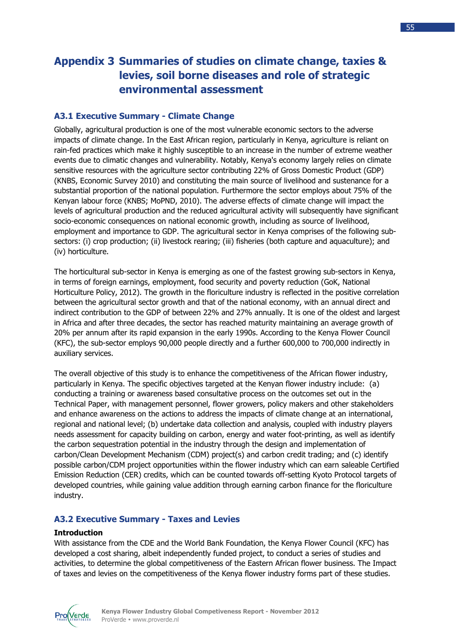## **Appendix 3 Summaries of studies on climate change, taxies & levies, soil borne diseases and role of strategic environmental assessment**

## **A3.1 Executive Summary - Climate Change**

Globally, agricultural production is one of the most vulnerable economic sectors to the adverse impacts of climate change. In the East African region, particularly in Kenya, agriculture is reliant on rain-fed practices which make it highly susceptible to an increase in the number of extreme weather events due to climatic changes and vulnerability. Notably, Kenya's economy largely relies on climate sensitive resources with the agriculture sector contributing 22% of Gross Domestic Product (GDP) (KNBS, Economic Survey 2010) and constituting the main source of livelihood and sustenance for a substantial proportion of the national population. Furthermore the sector employs about 75% of the Kenyan labour force (KNBS; MoPND, 2010). The adverse effects of climate change will impact the levels of agricultural production and the reduced agricultural activity will subsequently have significant socio-economic consequences on national economic growth, including as source of livelihood, employment and importance to GDP. The agricultural sector in Kenya comprises of the following subsectors: (i) crop production; (ii) livestock rearing; (iii) fisheries (both capture and aquaculture); and (iv) horticulture.

The horticultural sub-sector in Kenya is emerging as one of the fastest growing sub-sectors in Kenya, in terms of foreign earnings, employment, food security and poverty reduction (GoK, National Horticulture Policy, 2012). The growth in the floriculture industry is reflected in the positive correlation between the agricultural sector growth and that of the national economy, with an annual direct and indirect contribution to the GDP of between 22% and 27% annually. It is one of the oldest and largest in Africa and after three decades, the sector has reached maturity maintaining an average growth of 20% per annum after its rapid expansion in the early 1990s. According to the Kenya Flower Council (KFC), the sub-sector employs 90,000 people directly and a further 600,000 to 700,000 indirectly in auxiliary services.

The overall objective of this study is to enhance the competitiveness of the African flower industry, particularly in Kenya. The specific objectives targeted at the Kenyan flower industry include: (a) conducting a training or awareness based consultative process on the outcomes set out in the Technical Paper, with management personnel, flower growers, policy makers and other stakeholders and enhance awareness on the actions to address the impacts of climate change at an international, regional and national level; (b) undertake data collection and analysis, coupled with industry players needs assessment for capacity building on carbon, energy and water foot-printing, as well as identify the carbon sequestration potential in the industry through the design and implementation of carbon/Clean Development Mechanism (CDM) project(s) and carbon credit trading; and (c) identify possible carbon/CDM project opportunities within the flower industry which can earn saleable Certified Emission Reduction (CER) credits, which can be counted towards off-setting Kyoto Protocol targets of developed countries, while gaining value addition through earning carbon finance for the floriculture industry.

## **A3.2 Executive Summary - Taxes and Levies**

## **Introduction**

With assistance from the CDE and the World Bank Foundation, the Kenya Flower Council (KFC) has developed a cost sharing, albeit independently funded project, to conduct a series of studies and activities, to determine the global competitiveness of the Eastern African flower business. The Impact of taxes and levies on the competitiveness of the Kenya flower industry forms part of these studies.

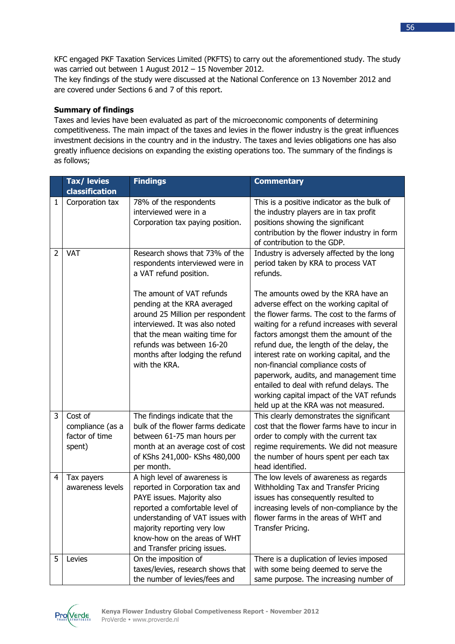KFC engaged PKF Taxation Services Limited (PKFTS) to carry out the aforementioned study. The study was carried out between 1 August 2012 – 15 November 2012.

The key findings of the study were discussed at the National Conference on 13 November 2012 and are covered under Sections 6 and 7 of this report.

## **Summary of findings**

Taxes and levies have been evaluated as part of the microeconomic components of determining competitiveness. The main impact of the taxes and levies in the flower industry is the great influences investment decisions in the country and in the industry. The taxes and levies obligations one has also greatly influence decisions on expanding the existing operations too. The summary of the findings is as follows;

|                | Tax/ levies                                             | <b>Findings</b>                                                                                                                                                                                                                                                                                                                                  | <b>Commentary</b>                                                                                                                                                                                                                                                                                                                                                                                                                                                                                                                          |
|----------------|---------------------------------------------------------|--------------------------------------------------------------------------------------------------------------------------------------------------------------------------------------------------------------------------------------------------------------------------------------------------------------------------------------------------|--------------------------------------------------------------------------------------------------------------------------------------------------------------------------------------------------------------------------------------------------------------------------------------------------------------------------------------------------------------------------------------------------------------------------------------------------------------------------------------------------------------------------------------------|
|                | classification                                          |                                                                                                                                                                                                                                                                                                                                                  |                                                                                                                                                                                                                                                                                                                                                                                                                                                                                                                                            |
| 1              | Corporation tax                                         | 78% of the respondents<br>interviewed were in a<br>Corporation tax paying position.                                                                                                                                                                                                                                                              | This is a positive indicator as the bulk of<br>the industry players are in tax profit<br>positions showing the significant<br>contribution by the flower industry in form<br>of contribution to the GDP.                                                                                                                                                                                                                                                                                                                                   |
| $\overline{2}$ | VAT                                                     | Research shows that 73% of the<br>respondents interviewed were in<br>a VAT refund position.<br>The amount of VAT refunds<br>pending at the KRA averaged<br>around 25 Million per respondent<br>interviewed. It was also noted<br>that the mean waiting time for<br>refunds was between 16-20<br>months after lodging the refund<br>with the KRA. | Industry is adversely affected by the long<br>period taken by KRA to process VAT<br>refunds.<br>The amounts owed by the KRA have an<br>adverse effect on the working capital of<br>the flower farms. The cost to the farms of<br>waiting for a refund increases with several<br>factors amongst them the amount of the<br>refund due, the length of the delay, the<br>interest rate on working capital, and the<br>non-financial compliance costs of<br>paperwork, audits, and management time<br>entailed to deal with refund delays. The |
|                |                                                         |                                                                                                                                                                                                                                                                                                                                                  | working capital impact of the VAT refunds<br>held up at the KRA was not measured.                                                                                                                                                                                                                                                                                                                                                                                                                                                          |
| 3              | Cost of<br>compliance (as a<br>factor of time<br>spent) | The findings indicate that the<br>bulk of the flower farms dedicate<br>between 61-75 man hours per<br>month at an average cost of cost<br>of KShs 241,000- KShs 480,000<br>per month.                                                                                                                                                            | This clearly demonstrates the significant<br>cost that the flower farms have to incur in<br>order to comply with the current tax<br>regime requirements. We did not measure<br>the number of hours spent per each tax<br>head identified.                                                                                                                                                                                                                                                                                                  |
| 4              | Tax payers<br>awareness levels                          | A high level of awareness is<br>reported in Corporation tax and<br>PAYE issues. Majority also<br>reported a comfortable level of<br>understanding of VAT issues with<br>majority reporting very low<br>know-how on the areas of WHT<br>and Transfer pricing issues.                                                                              | The low levels of awareness as regards<br>Withholding Tax and Transfer Pricing<br>issues has consequently resulted to<br>increasing levels of non-compliance by the<br>flower farms in the areas of WHT and<br>Transfer Pricing.                                                                                                                                                                                                                                                                                                           |
| 5              | Levies                                                  | On the imposition of<br>taxes/levies, research shows that<br>the number of levies/fees and                                                                                                                                                                                                                                                       | There is a duplication of levies imposed<br>with some being deemed to serve the<br>same purpose. The increasing number of                                                                                                                                                                                                                                                                                                                                                                                                                  |

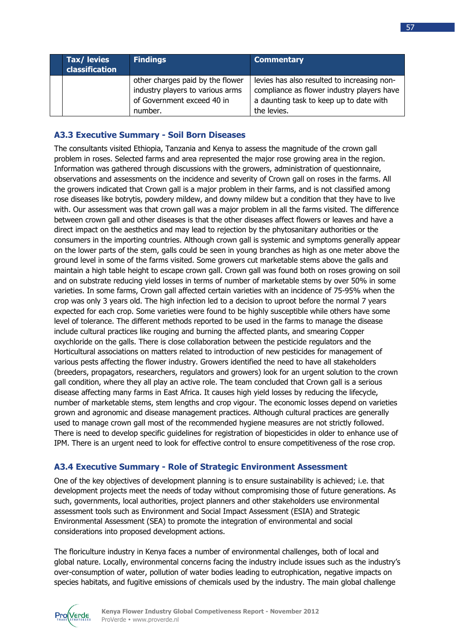| Tax/levies<br>classification | <b>Findings</b>                                                                                               | <b>Commentary</b>                                                                                                                                   |
|------------------------------|---------------------------------------------------------------------------------------------------------------|-----------------------------------------------------------------------------------------------------------------------------------------------------|
|                              | other charges paid by the flower<br>industry players to various arms<br>of Government exceed 40 in<br>number. | levies has also resulted to increasing non-<br>compliance as flower industry players have<br>a daunting task to keep up to date with<br>the levies. |

## **A3.3 Executive Summary - Soil Born Diseases**

The consultants visited Ethiopia, Tanzania and Kenya to assess the magnitude of the crown gall problem in roses. Selected farms and area represented the major rose growing area in the region. Information was gathered through discussions with the growers, administration of questionnaire, observations and assessments on the incidence and severity of Crown gall on roses in the farms. All the growers indicated that Crown gall is a major problem in their farms, and is not classified among rose diseases like botrytis, powdery mildew, and downy mildew but a condition that they have to live with. Our assessment was that crown gall was a major problem in all the farms visited. The difference between crown gall and other diseases is that the other diseases affect flowers or leaves and have a direct impact on the aesthetics and may lead to rejection by the phytosanitary authorities or the consumers in the importing countries. Although crown gall is systemic and symptoms generally appear on the lower parts of the stem, galls could be seen in young branches as high as one meter above the ground level in some of the farms visited. Some growers cut marketable stems above the galls and maintain a high table height to escape crown gall. Crown gall was found both on roses growing on soil and on substrate reducing yield losses in terms of number of marketable stems by over 50% in some varieties. In some farms, Crown gall affected certain varieties with an incidence of 75-95% when the crop was only 3 years old. The high infection led to a decision to uproot before the normal 7 years expected for each crop. Some varieties were found to be highly susceptible while others have some level of tolerance. The different methods reported to be used in the farms to manage the disease include cultural practices like rouging and burning the affected plants, and smearing Copper oxychloride on the galls. There is close collaboration between the pesticide regulators and the Horticultural associations on matters related to introduction of new pesticides for management of various pests affecting the flower industry. Growers identified the need to have all stakeholders (breeders, propagators, researchers, regulators and growers) look for an urgent solution to the crown gall condition, where they all play an active role. The team concluded that Crown gall is a serious disease affecting many farms in East Africa. It causes high yield losses by reducing the lifecycle, number of marketable stems, stem lengths and crop vigour. The economic losses depend on varieties grown and agronomic and disease management practices. Although cultural practices are generally used to manage crown gall most of the recommended hygiene measures are not strictly followed. There is need to develop specific guidelines for registration of biopesticides in older to enhance use of IPM. There is an urgent need to look for effective control to ensure competitiveness of the rose crop.

## **A3.4 Executive Summary - Role of Strategic Environment Assessment**

One of the key objectives of development planning is to ensure sustainability is achieved; i.e. that development projects meet the needs of today without compromising those of future generations. As such, governments, local authorities, project planners and other stakeholders use environmental assessment tools such as Environment and Social Impact Assessment (ESIA) and Strategic Environmental Assessment (SEA) to promote the integration of environmental and social considerations into proposed development actions.

The floriculture industry in Kenya faces a number of environmental challenges, both of local and global nature. Locally, environmental concerns facing the industry include issues such as the industry's over-consumption of water, pollution of water bodies leading to eutrophication, negative impacts on species habitats, and fugitive emissions of chemicals used by the industry. The main global challenge